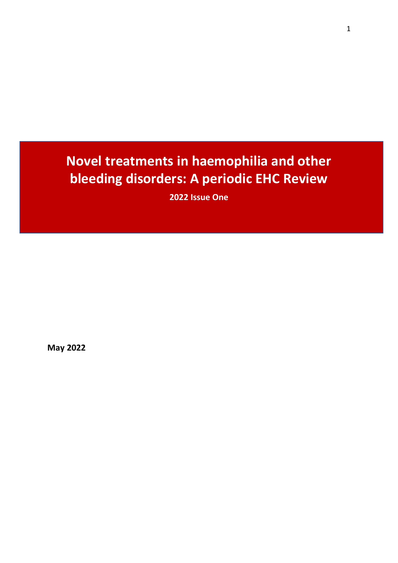# **Novel treatments in haemophilia and other bleeding disorders: A periodic EHC Review**

**2022 Issue One**

**May 2022**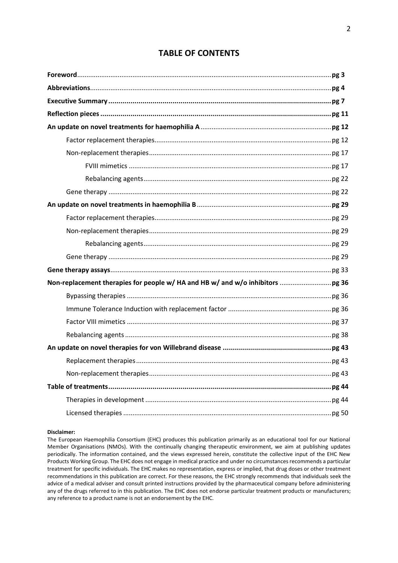# **TABLE OF CONTENTS**

#### **Disclaimer:**

The European Haemophilia Consortium (EHC) produces this publication primarily as an educational tool for our National Member Organisations (NMOs). With the continually changing therapeutic environment, we aim at publishing updates periodically. The information contained, and the views expressed herein, constitute the collective input of the EHC New Products Working Group. The EHC does not engage in medical practice and under no circumstances recommends a particular treatment for specific individuals. The EHC makes no representation, express or implied, that drug doses or other treatment recommendations in this publication are correct. For these reasons, the EHC strongly recommends that individuals seek the advice of a medical adviser and consult printed instructions provided by the pharmaceutical company before administering any of the drugs referred to in this publication. The EHC does not endorse particular treatment products or manufacturers; any reference to a product name is not an endorsement by the EHC.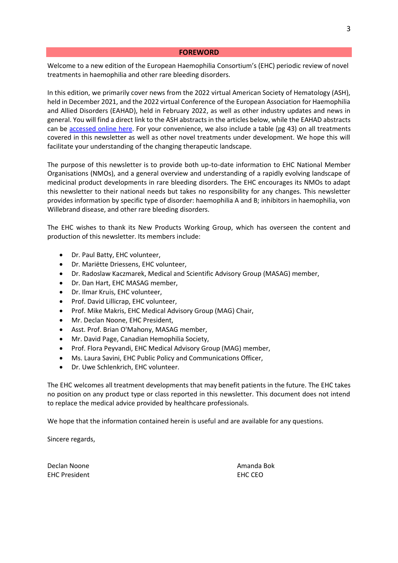#### **FOREWORD**

Welcome to a new edition of the European Haemophilia Consortium's (EHC) periodic review of novel treatments in haemophilia and other rare bleeding disorders.

In this edition, we primarily cover news from the 2022 virtual American Society of Hematology (ASH), held in December 2021, and the 2022 virtual Conference of the European Association for Haemophilia and Allied Disorders (EAHAD), held in February 2022, as well as other industry updates and news in general. You will find a direct link to the ASH abstracts in the articles below, while the EAHAD abstracts can be [accessed online here.](https://onlinelibrary.wiley.com/doi/10.1111/hae.14479) For your convenience, we also include a table (pg 43) on all treatments covered in this newsletter as well as other novel treatments under development. We hope this will facilitate your understanding of the changing therapeutic landscape.

The purpose of this newsletter is to provide both up-to-date information to EHC National Member Organisations (NMOs), and a general overview and understanding of a rapidly evolving landscape of medicinal product developments in rare bleeding disorders. The EHC encourages its NMOs to adapt this newsletter to their national needs but takes no responsibility for any changes. This newsletter provides information by specific type of disorder: haemophilia A and B; inhibitors in haemophilia, von Willebrand disease, and other rare bleeding disorders.

The EHC wishes to thank its New Products Working Group, which has overseen the content and production of this newsletter. Its members include:

- Dr. Paul Batty, EHC volunteer,
- Dr. Mariëtte Driessens, EHC volunteer,
- Dr. Radoslaw Kaczmarek, Medical and Scientific Advisory Group (MASAG) member,
- Dr. Dan Hart, EHC MASAG member,
- Dr. Ilmar Kruis, EHC volunteer,
- Prof. David Lillicrap, EHC volunteer,
- Prof. Mike Makris, EHC Medical Advisory Group (MAG) Chair,
- Mr. Declan Noone, EHC President,
- Asst. Prof. Brian O'Mahony, MASAG member,
- Mr. David Page, Canadian Hemophilia Society,
- Prof. Flora Peyvandi, EHC Medical Advisory Group (MAG) member,
- Ms. Laura Savini, EHC Public Policy and Communications Officer,
- Dr. Uwe Schlenkrich, EHC volunteer.

The EHC welcomes all treatment developments that may benefit patients in the future. The EHC takes no position on any product type or class reported in this newsletter. This document does not intend to replace the medical advice provided by healthcare professionals.

We hope that the information contained herein is useful and are available for any questions.

Sincere regards,

Declan Noone Amanda Bok EHC President EHC CEO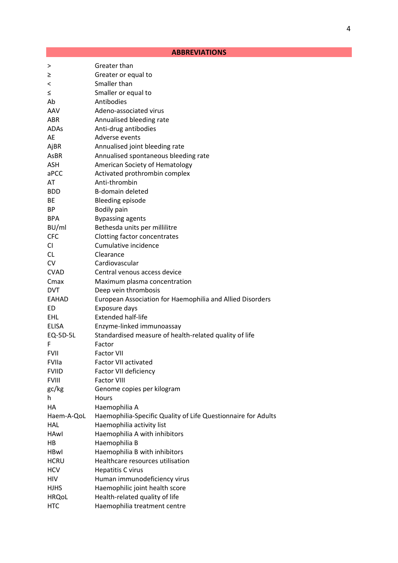# **ABBREVIATIONS**

|              | Greater than                                                  |
|--------------|---------------------------------------------------------------|
| ><br>≥       | Greater or equal to                                           |
| <            | Smaller than                                                  |
| ≤            | Smaller or equal to                                           |
| Ab           | Antibodies                                                    |
| AAV          | Adeno-associated virus                                        |
| ABR          | Annualised bleeding rate                                      |
| ADAs         | Anti-drug antibodies                                          |
| AE           | Adverse events                                                |
| AjBR         | Annualised joint bleeding rate                                |
| AsBR         | Annualised spontaneous bleeding rate                          |
| <b>ASH</b>   | American Society of Hematology                                |
| aPCC         | Activated prothrombin complex                                 |
| AT           | Anti-thrombin                                                 |
| BDD.         | B-domain deleted                                              |
| BE           | Bleeding episode                                              |
| <b>BP</b>    | Bodily pain                                                   |
| <b>BPA</b>   | <b>Bypassing agents</b>                                       |
| BU/ml        | Bethesda units per millilitre                                 |
| <b>CFC</b>   | Clotting factor concentrates                                  |
| CI           | Cumulative incidence                                          |
| <b>CL</b>    | Clearance                                                     |
| <b>CV</b>    | Cardiovascular                                                |
| <b>CVAD</b>  | Central venous access device                                  |
| Cmax         | Maximum plasma concentration                                  |
| <b>DVT</b>   | Deep vein thrombosis                                          |
| <b>EAHAD</b> | European Association for Haemophilia and Allied Disorders     |
| ED           | Exposure days                                                 |
| EHL          | <b>Extended half-life</b>                                     |
| ELISA        | Enzyme-linked immunoassay                                     |
| EQ-5D-5L     | Standardised measure of health-related quality of life        |
| F            | Factor                                                        |
| <b>FVII</b>  | <b>Factor VII</b>                                             |
| FVIIa        | <b>Factor VII activated</b>                                   |
| <b>FVIID</b> | <b>Factor VII deficiency</b>                                  |
| <b>FVIII</b> | <b>Factor VIII</b>                                            |
| gc/kg        | Genome copies per kilogram                                    |
| h.           | Hours                                                         |
| HA           | Haemophilia A                                                 |
| Haem-A-QoL   | Haemophilia-Specific Quality of Life Questionnaire for Adults |
| <b>HAL</b>   | Haemophilia activity list                                     |
| <b>HAwl</b>  | Haemophilia A with inhibitors                                 |
| HB           | Haemophilia B                                                 |
| <b>HBwl</b>  | Haemophilia B with inhibitors                                 |
| <b>HCRU</b>  | Healthcare resources utilisation                              |
| <b>HCV</b>   | <b>Hepatitis C virus</b>                                      |
| HIV          | Human immunodeficiency virus                                  |
| <b>HJHS</b>  | Haemophilic joint health score                                |
| <b>HRQoL</b> | Health-related quality of life                                |
| <b>HTC</b>   | Haemophilia treatment centre                                  |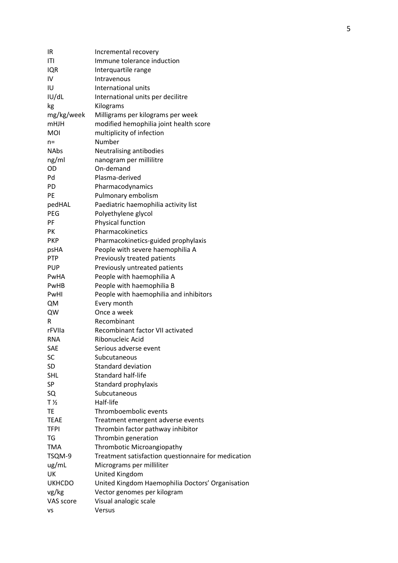| IR            | Incremental recovery                                |
|---------------|-----------------------------------------------------|
| ITI           | Immune tolerance induction                          |
| IQR           | Interquartile range                                 |
| IV            | Intravenous                                         |
| IU            | International units                                 |
| IU/dL         | International units per decilitre                   |
| kg            | Kilograms                                           |
| mg/kg/week    | Milligrams per kilograms per week                   |
| <b>mHJH</b>   | modified hemophilia joint health score              |
| MOI           | multiplicity of infection                           |
| n=            | Number                                              |
| <b>NAbs</b>   | Neutralising antibodies                             |
| ng/ml         | nanogram per millilitre                             |
| OD            | On-demand                                           |
| Pd            | Plasma-derived                                      |
| <b>PD</b>     | Pharmacodynamics                                    |
| <b>PE</b>     | Pulmonary embolism                                  |
| pedHAL        | Paediatric haemophilia activity list                |
| <b>PEG</b>    | Polyethylene glycol                                 |
| PF            | Physical function                                   |
| PK            | Pharmacokinetics                                    |
| <b>PKP</b>    | Pharmacokinetics-guided prophylaxis                 |
| psHA          | People with severe haemophilia A                    |
| <b>PTP</b>    | Previously treated patients                         |
| <b>PUP</b>    | Previously untreated patients                       |
| PwHA          | People with haemophilia A                           |
| PwHB          | People with haemophilia B                           |
| PwHI          | People with haemophilia and inhibitors              |
| QM            | Every month                                         |
| QW            | Once a week                                         |
| R             | Recombinant                                         |
| rFVIIa        | Recombinant factor VII activated                    |
| <b>RNA</b>    | Ribonucleic Acid                                    |
| SAE           | Serious adverse event                               |
| SC            | Subcutaneous                                        |
| SD            | <b>Standard deviation</b>                           |
| <b>SHL</b>    | <b>Standard half-life</b>                           |
| SP            | Standard prophylaxis                                |
| SQ            | Subcutaneous                                        |
| T ½           | Half-life                                           |
| TE            | Thromboembolic events                               |
| <b>TEAE</b>   | Treatment emergent adverse events                   |
| <b>TFPI</b>   | Thrombin factor pathway inhibitor                   |
| TG            | Thrombin generation                                 |
| <b>TMA</b>    | Thrombotic Microangiopathy                          |
| TSQM-9        | Treatment satisfaction questionnaire for medication |
| ug/mL         | Micrograms per milliliter                           |
| UK            | United Kingdom                                      |
| <b>UKHCDO</b> | United Kingdom Haemophilia Doctors' Organisation    |
| vg/kg         | Vector genomes per kilogram                         |
| VAS score     | Visual analogic scale                               |
| vs            | Versus                                              |
|               |                                                     |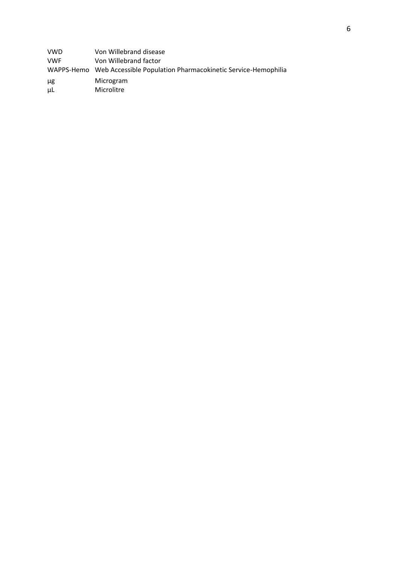| <b>VWD</b> | Von Willebrand disease                                                  |
|------------|-------------------------------------------------------------------------|
| <b>VWF</b> | Von Willebrand factor                                                   |
|            | WAPPS-Hemo Web Accessible Population Pharmacokinetic Service-Hemophilia |
| μg         | Microgram                                                               |
| μL         | Microlitre                                                              |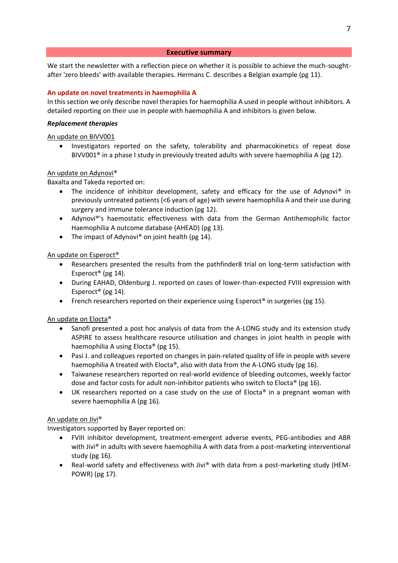#### **Executive summary**

We start the newsletter with a reflection piece on whether it is possible to achieve the much-soughtafter 'zero bleeds' with available therapies. Hermans C. describes a Belgian example (pg 11).

# **An update on novel treatments in haemophilia A**

In this section we only describe novel therapies for haemophilia A used in people without inhibitors. A detailed reporting on their use in people with haemophilia A and inhibitors is given below.

#### *Replacement therapies*

An update on BIVV001

• Investigators reported on the safety, tolerability and pharmacokinetics of repeat dose BIVV001<sup>®</sup> in a phase I study in previously treated adults with severe haemophilia A (pg 12).

#### An update on Adynovi®

Baxalta and Takeda reported on:

- The incidence of inhibitor development, safety and efficacy for the use of Adynovi® in previously untreated patients (<6 years of age) with severe haemophilia A and their use during surgery and immune tolerance induction (pg 12).
- Adynovi®'s haemostatic effectiveness with data from the German Antihemophilic factor Haemophilia A outcome database (AHEAD) (pg 13).
- The impact of Adynovi<sup>®</sup> on joint health (pg 14).

# An update on Esperoct®

- Researchers presented the results from the pathfinder8 trial on long-term satisfaction with Esperoct® (pg 14).
- During EAHAD, Oldenburg J. reported on cases of lower-than-expected FVIII expression with Esperoct® (pg 14).
- French researchers reported on their experience using  $Esperoct^*$  in surgeries (pg 15).

An update on Elocta®

- Sanofi presented a post hoc analysis of data from the A-LONG study and its extension study ASPIRE to assess healthcare resource utilisation and changes in joint health in people with haemophilia A using Elocta® (pg 15).
- Pasi J. and colleagues reported on changes in pain-related quality of life in people with severe haemophilia A treated with Elocta®, also with data from the A-LONG study (pg 16).
- Taiwanese researchers reported on real-world evidence of bleeding outcomes, weekly factor dose and factor costs for adult non-inhibitor patients who switch to Elocta® (pg 16).
- UK researchers reported on a case study on the use of Elocta® in a pregnant woman with severe haemophilia A (pg 16).

#### An update on Jivi®

Investigators supported by Bayer reported on:

- FVIII inhibitor development, treatment-emergent adverse events, PEG-antibodies and ABR with Jivi® in adults with severe haemophilia A with data from a post-marketing interventional study (pg 16).
- Real-world safety and effectiveness with Jivi® with data from a post-marketing study (HEM-POWR) (pg 17).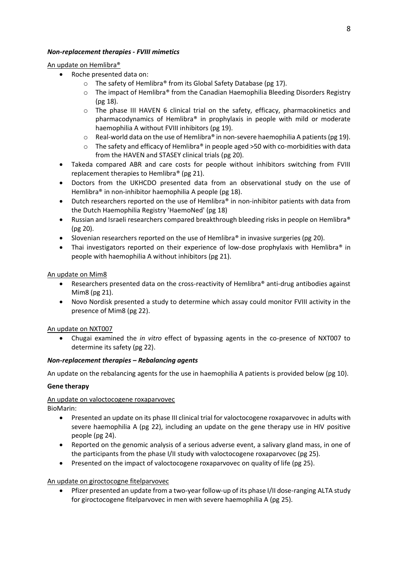# *Non-replacement therapies - FVIII mimetics*

An update on Hemlibra®

- Roche presented data on:
	- o The safety of Hemlibra® from its Global Safety Database (pg 17).
	- $\circ$  The impact of Hemlibra® from the Canadian Haemophilia Bleeding Disorders Registry (pg 18).
	- $\circ$  The phase III HAVEN 6 clinical trial on the safety, efficacy, pharmacokinetics and pharmacodynamics of Hemlibra® in prophylaxis in people with mild or moderate haemophilia A without FVIII inhibitors (pg 19).
	- $\circ$  Real-world data on the use of Hemlibra® in non-severe haemophilia A patients (pg 19).
	- $\circ$  The safety and efficacy of Hemlibra® in people aged >50 with co-morbidities with data from the HAVEN and STASEY clinical trials (pg 20).
- Takeda compared ABR and care costs for people without inhibitors switching from FVIII replacement therapies to Hemlibra® (pg 21).
- Doctors from the UKHCDO presented data from an observational study on the use of Hemlibra® in non-inhibitor haemophilia A people (pg 18).
- Dutch researchers reported on the use of Hemlibra® in non-inhibitor patients with data from the Dutch Haemophilia Registry 'HaemoNed' (pg 18)
- Russian and Israeli researchers compared breakthrough bleeding risks in people on Hemlibra® (pg 20).
- Slovenian researchers reported on the use of Hemlibra<sup>®</sup> in invasive surgeries (pg 20).
- Thai investigators reported on their experience of low-dose prophylaxis with Hemlibra<sup>®</sup> in people with haemophilia A without inhibitors (pg 21).

# An update on Mim8

- Researchers presented data on the cross-reactivity of Hemlibra® anti-drug antibodies against Mim8 (pg 21).
- Novo Nordisk presented a study to determine which assay could monitor FVIII activity in the presence of Mim8 (pg 22).

# An update on NXT007

• Chugai examined the *in vitro* effect of bypassing agents in the co-presence of NXT007 to determine its safety (pg 22).

# *Non-replacement therapies – Rebalancing agents*

An update on the rebalancing agents for the use in haemophilia A patients is provided below (pg 10).

# **Gene therapy**

# An update on valoctocogene roxaparvovec

BioMarin:

- Presented an update on its phase III clinical trial for valoctocogene roxaparvovec in adults with severe haemophilia A (pg 22), including an update on the gene therapy use in HIV positive people (pg 24).
- Reported on the genomic analysis of a serious adverse event, a salivary gland mass, in one of the participants from the phase I/II study with valoctocogene roxaparvovec (pg 25).
- Presented on the impact of valoctocogene roxaparvovec on quality of life (pg 25).

# An update on giroctocogne fitelparvovec

• Pfizer presented an update from a two-year follow-up of its phase I/II dose-ranging ALTA study for giroctocogene fitelparvovec in men with severe haemophilia A (pg 25).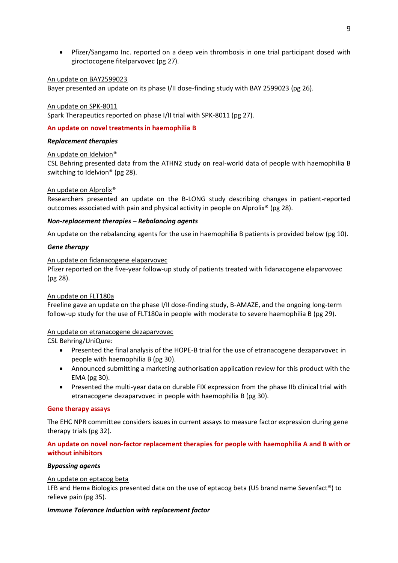• Pfizer/Sangamo Inc. reported on a deep vein thrombosis in one trial participant dosed with giroctocogene fitelparvovec (pg 27).

## An update on BAY2599023

Bayer presented an update on its phase I/II dose-finding study with BAY 2599023 (pg 26).

An update on SPK-8011

Spark Therapeutics reported on phase I/II trial with SPK-8011 (pg 27).

#### **An update on novel treatments in haemophilia B**

#### *Replacement therapies*

#### An update on Idelvion®

CSL Behring presented data from the ATHN2 study on real-world data of people with haemophilia B switching to Idelvion® (pg 28).

#### An update on Alprolix®

Researchers presented an update on the B-LONG study describing changes in patient-reported outcomes associated with pain and physical activity in people on Alprolix® (pg 28).

#### *Non-replacement therapies – Rebalancing agents*

An update on the rebalancing agents for the use in haemophilia B patients is provided below (pg 10).

#### *Gene therapy*

#### An update on fidanacogene elaparvovec

Pfizer reported on the five-year follow-up study of patients treated with fidanacogene elaparvovec (pg 28).

#### An update on FLT180a

Freeline gave an update on the phase I/II dose-finding study, B-AMAZE, and the ongoing long-term follow-up study for the use of FLT180a in people with moderate to severe haemophilia B (pg 29).

#### An update on etranacogene dezaparvovec

CSL Behring/UniQure:

- Presented the final analysis of the HOPE-B trial for the use of etranacogene dezaparvovec in people with haemophilia B (pg 30).
- Announced submitting a marketing authorisation application review for this product with the EMA (pg 30).
- Presented the multi-year data on durable FIX expression from the phase IIb clinical trial with etranacogene dezaparvovec in people with haemophilia B (pg 30).

#### **Gene therapy assays**

The EHC NPR committee considers issues in current assays to measure factor expression during gene therapy trials (pg 32).

# **An update on novel non-factor replacement therapies for people with haemophilia A and B with or without inhibitors**

#### *Bypassing agents*

#### An update on eptacog beta

LFB and Hema Biologics presented data on the use of eptacog beta (US brand name Sevenfact<sup>®</sup>) to relieve pain (pg 35).

#### *Immune Tolerance Induction with replacement factor*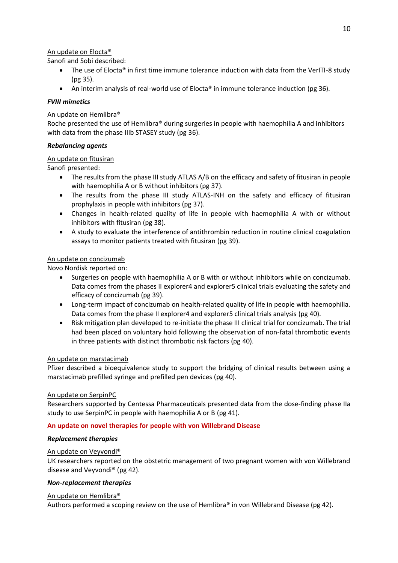# An update on Elocta®

Sanofi and Sobi described:

- The use of Elocta® in first time immune tolerance induction with data from the VerITI-8 study (pg 35).
- An interim analysis of real-world use of Elocta® in immune tolerance induction (pg 36).

# *FVIII mimetics*

# An update on Hemlibra®

Roche presented the use of Hemlibra® during surgeries in people with haemophilia A and inhibitors with data from the phase IIIb STASEY study (pg 36).

# *Rebalancing agents*

# An update on fitusiran

Sanofi presented:

- The results from the phase III study ATLAS A/B on the efficacy and safety of fitusiran in people with haemophilia A or B without inhibitors (pg 37).
- The results from the phase III study ATLAS-INH on the safety and efficacy of fitusiran prophylaxis in people with inhibitors (pg 37).
- Changes in health-related quality of life in people with haemophilia A with or without inhibitors with fitusiran (pg 38).
- A study to evaluate the interference of antithrombin reduction in routine clinical coagulation assays to monitor patients treated with fitusiran (pg 39).

# An update on concizumab

Novo Nordisk reported on:

- Surgeries on people with haemophilia A or B with or without inhibitors while on concizumab. Data comes from the phases II explorer4 and explorer5 clinical trials evaluating the safety and efficacy of concizumab (pg 39).
- Long-term impact of concizumab on health-related quality of life in people with haemophilia. Data comes from the phase II explorer4 and explorer5 clinical trials analysis (pg 40).
- Risk mitigation plan developed to re-initiate the phase III clinical trial for concizumab. The trial had been placed on voluntary hold following the observation of non-fatal thrombotic events in three patients with distinct thrombotic risk factors (pg 40).

# An update on marstacimab

Pfizer described a bioequivalence study to support the bridging of clinical results between using a marstacimab prefilled syringe and prefilled pen devices (pg 40).

# An update on SerpinPC

Researchers supported by Centessa Pharmaceuticals presented data from the dose-finding phase IIa study to use SerpinPC in people with haemophilia A or B (pg 41).

# **An update on novel therapies for people with von Willebrand Disease**

# *Replacement therapies*

# An update on Veyvondi®

UK researchers reported on the obstetric management of two pregnant women with von Willebrand disease and Veyvondi® (pg 42).

# *Non-replacement therapies*

# An update on Hemlibra®

Authors performed a scoping review on the use of Hemlibra® in von Willebrand Disease (pg 42).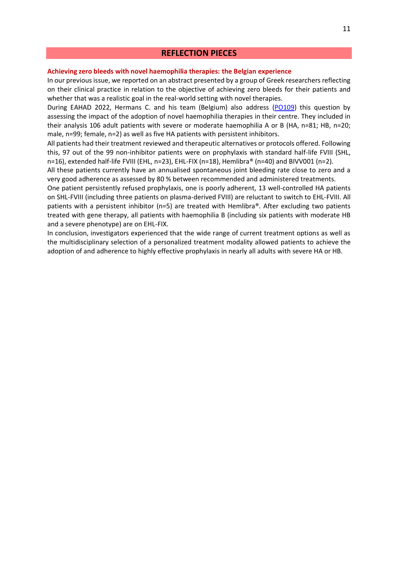# **REFLECTION PIECES**

#### **Achieving zero bleeds with novel haemophilia therapies: the Belgian experience**

In our previous issue, we reported on an abstract presented by a group of Greek researchers reflecting on their clinical practice in relation to the objective of achieving zero bleeds for their patients and whether that was a realistic goal in the real-world setting with novel therapies.

During EAHAD 2022, Hermans C. and his team (Belgium) also address [\(PO109\)](https://onlinelibrary.wiley.com/doi/10.1111/hae.14479) this question by assessing the impact of the adoption of novel haemophilia therapies in their centre. They included in their analysis 106 adult patients with severe or moderate haemophilia A or B (HA, n=81; HB, n=20; male, n=99; female, n=2) as well as five HA patients with persistent inhibitors.

All patients had their treatment reviewed and therapeutic alternatives or protocols offered. Following this, 97 out of the 99 non-inhibitor patients were on prophylaxis with standard half-life FVIII (SHL, n=16), extended half-life FVIII (EHL, n=23), EHL-FIX (n=18), Hemlibra® (n=40) and BIVV001 (n=2).

All these patients currently have an annualised spontaneous joint bleeding rate close to zero and a very good adherence as assessed by 80 % between recommended and administered treatments.

One patient persistently refused prophylaxis, one is poorly adherent, 13 well-controlled HA patients on SHL-FVIII (including three patients on plasma-derived FVIII) are reluctant to switch to EHL-FVIII. All patients with a persistent inhibitor (n=5) are treated with Hemlibra®. After excluding two patients treated with gene therapy, all patients with haemophilia B (including six patients with moderate HB and a severe phenotype) are on EHL-FIX.

In conclusion, investigators experienced that the wide range of current treatment options as well as the multidisciplinary selection of a personalized treatment modality allowed patients to achieve the adoption of and adherence to highly effective prophylaxis in nearly all adults with severe HA or HB.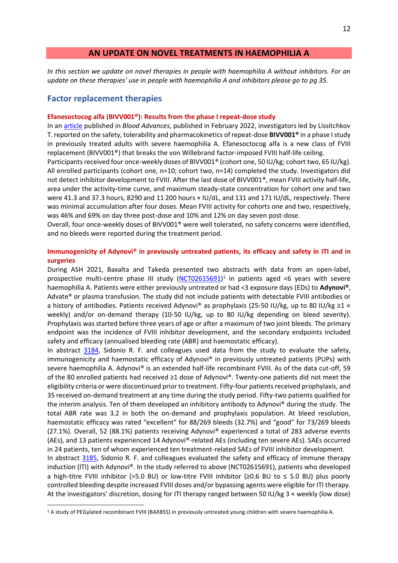# **AN UPDATE ON NOVEL TREATMENTS IN HAEMOPHILIA A**

*In this section we update on novel therapies in people with haemophilia A without inhibitors. For an update on these therapies' use in people with haemophilia A and inhibitors please go to pg 35.*

# **Factor replacement therapies**

#### **Efanesoctocog alfa (BIVV001®): Results from the phase I repeat-dose study**

In an [article](https://ashpublications.org/bloodadvances/article/6/4/1089/482697/Efanesoctocog-alfa-for-hemophilia-A-results-from-a) published in *Blood Advances*, published in February 2022, investigators led by Lissitchkov T. reported on the safety, tolerability and pharmacokinetics of repeat-dose **BIVV001®** in a phase Istudy in previously treated adults with severe haemophilia A. Efanesoctocog alfa is a new class of FVIII replacement (BIVV001®) that breaks the von Willebrand factor-imposed FVIII half-life ceiling.

Participants received four once-weekly doses of BIVV001® (cohort one, 50 IU/kg; cohort two, 65 IU/kg). All enrolled participants (cohort one, n=10; cohort two, n=14) completed the study. Investigators did not detect inhibitor development to FVIII. After the last dose of BIVV001®, mean FVIII activity half-life, area under the activity-time curve, and maximum steady-state concentration for cohort one and two were 41.3 and 37.3 hours, 8290 and 11 200 hours × IU/dL, and 131 and 171 IU/dL, respectively. There was minimal accumulation after four doses. Mean FVIII activity for cohorts one and two, respectively, was 46% and 69% on day three post-dose and 10% and 12% on day seven post-dose.

Overall, four once-weekly doses of BIVV001® were well tolerated, no safety concerns were identified, and no bleeds were reported during the treatment period.

# **Immunogenicity of Adynovi® in previously untreated patients, its efficacy and safety in ITI and in surgeries**

During ASH 2021, Baxalta and Takeda presented two abstracts with data from an open-label, prospective multi-centre phase III study [\(NCT02615691\)](https://clinicaltrials.gov/ct2/show/NCT02615691)<sup>1</sup> in patients aged <6 years with severe haemophilia A. Patients were either previously untreated or had <3 exposure days (EDs) to **Adynovi®**, Advate® or plasma transfusion. The study did not include patients with detectable FVIII antibodies or a history of antibodies. Patients received Adynovi® as prophylaxis (25-50 IU/kg, up to 80 IU/kg  $\geq 1$  × weekly) and/or on-demand therapy (10-50 IU/kg, up to 80 IU/kg depending on bleed severity). Prophylaxis was started before three years of age or after a maximum of two joint bleeds. The primary endpoint was the incidence of FVIII inhibitor development, and the secondary endpoints included safety and efficacy (annualised bleeding rate (ABR) and haemostatic efficacy).

In abstract [3184,](https://ash.confex.com/ash/2021/webprogram/Paper146126.html) Sidonio R. F. and colleagues used data from the study to evaluate the safety, immunogenicity and haemostatic efficacy of Adynovi® in previously untreated patients (PUPs) with severe haemophilia A. Adynovi® is an extended half-life recombinant FVIII. As of the data cut-off, 59 of the 80 enrolled patients had received ≥1 dose of Adynovi®. Twenty-one patients did not meet the eligibility criteria or were discontinued prior to treatment. Fifty-four patients received prophylaxis, and 35 received on-demand treatment at any time during the study period. Fifty-two patients qualified for the interim analysis. Ten of them developed an inhibitory antibody to Adynovi® during the study. The total ABR rate was 3.2 in both the on-demand and prophylaxis population. At bleed resolution, haemostatic efficacy was rated "excellent" for 88/269 bleeds (32.7%) and "good" for 73/269 bleeds (27.1%). Overall, 52 (88.1%) patients receiving Adynovi® experienced a total of 283 adverse events (AEs), and 13 patients experienced 14 Adynovi®-related AEs (including ten severe AEs). SAEs occurred in 24 patients, ten of whom experienced ten treatment-related SAEs of FVIII inhibitor development.

In abstract [3185,](https://ash.confex.com/ash/2021/webprogram/Paper146143.html) Sidonio R. F. and colleagues evaluated the safety and efficacy of immune therapy induction (ITI) with Adynovi®. In the study referred to above (NCT02615691), patients who developed a high-titre FVIII inhibitor (>5.0 BU) or low-titre FVIII inhibitor (≥0.6 BU to ≤ 5.0 BU) plus poorly controlled bleeding despite increased FVIII doses and/or bypassing agents were eligible for ITI therapy. At the investigators' discretion, dosing for ITI therapy ranged between 50 IU/kg 3 × weekly (low dose)

<sup>1</sup> A study of PEGylated recombinant FVIII (BAX855) in previously untreated young children with severe haemophilia A.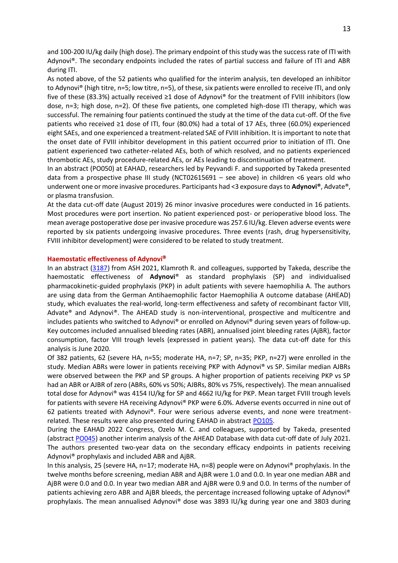and 100-200 IU/kg daily (high dose). The primary endpoint of this study was the success rate of ITI with Adynovi®. The secondary endpoints included the rates of partial success and failure of ITI and ABR during ITI.

As noted above, of the 52 patients who qualified for the interim analysis, ten developed an inhibitor to Adynovi® (high titre, n=5; low titre, n=5), of these, six patients were enrolled to receive ITI, and only five of these (83.3%) actually received ≥1 dose of Adynovi® for the treatment of FVIII inhibitors (low dose, n=3; high dose, n=2). Of these five patients, one completed high-dose ITI therapy, which was successful. The remaining four patients continued the study at the time of the data cut-off. Of the five patients who received ≥1 dose of ITI, four (80.0%) had a total of 17 AEs, three (60.0%) experienced eight SAEs, and one experienced a treatment-related SAE of FVIII inhibition. It is important to note that the onset date of FVIII inhibitor development in this patient occurred prior to initiation of ITI. One patient experienced two catheter-related AEs, both of which resolved, and no patients experienced thrombotic AEs, study procedure-related AEs, or AEs leading to discontinuation of treatment.

In an abstract (PO050) at EAHAD, researchers led by Peyvandi F. and supported by Takeda presented data from a prospective phase III study (NCT02615691 – see above) in children <6 years old who underwent one or more invasive procedures. Participants had <3 exposure days to **Adynovi®**, Advate®, or plasma transfusion.

At the data cut-off date (August 2019) 26 minor invasive procedures were conducted in 16 patients. Most procedures were port insertion. No patient experienced post- or perioperative blood loss. The mean average postoperative dose per invasive procedure was 257.6 IU/kg. Eleven adverse events were reported by six patients undergoing invasive procedures. Three events (rash, drug hypersensitivity, FVIII inhibitor development) were considered to be related to study treatment.

#### **Haemostatic effectiveness of Adynovi**

In an abstract [\(3187\)](https://ash.confex.com/ash/2021/webprogram/Paper146162.html) from ASH 2021, Klamroth R. and colleagues, supported by Takeda, describe the haemostatic effectiveness of **Adynovi**® as standard prophylaxis (SP) and individualised pharmacokinetic-guided prophylaxis (PKP) in adult patients with severe haemophilia A. The authors are using data from the German Antihaemophilic factor Haemophilia A outcome database (AHEAD) study, which evaluates the real-world, long-term effectiveness and safety of recombinant factor VIII, Advate® and Adynovi®. The AHEAD study is non-interventional, prospective and multicentre and includes patients who switched to Adynovi® or enrolled on Adynovi® during seven years of follow-up. Key outcomes included annualised bleeding rates (ABR), annualised joint bleeding rates (AjBR), factor consumption, factor VIII trough levels (expressed in patient years). The data cut-off date for this analysis is June 2020.

Of 382 patients, 62 (severe HA, n=55; moderate HA, n=7; SP, n=35; PKP, n=27) were enrolled in the study. Median ABRs were lower in patients receiving PKP with Adynovi® vs SP. Similar median AJBRs were observed between the PKP and SP groups. A higher proportion of patients receiving PKP vs SP had an ABR or AJBR of zero (ABRs, 60% vs 50%; AJBRs, 80% vs 75%, respectively). The mean annualised total dose for Adynovi® was 4154 IU/kg for SP and 4662 IU/kg for PKP. Mean target FVIII trough levels for patients with severe HA receiving Adynovi® PKP were 6.0%. Adverse events occurred in nine out of 62 patients treated with Adynovi®. Four were serious adverse events, and none were treatment-related. These results were also presented during EAHAD in abstract [PO105.](https://onlinelibrary.wiley.com/doi/10.1111/hae.14479)

During the EAHAD 2022 Congress, Ozelo M. C. and colleagues, supported by Takeda, presented (abstract [PO045\)](https://onlinelibrary.wiley.com/doi/10.1111/hae.14479) another interim analysis of the AHEAD Database with data cut-off date of July 2021. The authors presented two-year data on the secondary efficacy endpoints in patients receiving Adynovi® prophylaxis and included ABR and AjBR.

In this analysis, 25 (severe HA, n=17; moderate HA, n=8) people were on Adynovi® prophylaxis. In the twelve months before screening, median ABR and AjBR were 1.0 and 0.0. In year one median ABR and AjBR were 0.0 and 0.0. In year two median ABR and AjBR were 0.9 and 0.0. In terms of the number of patients achieving zero ABR and AjBR bleeds, the percentage increased following uptake of Adynovi® prophylaxis. The mean annualised Adynovi® dose was 3893 IU/kg during year one and 3803 during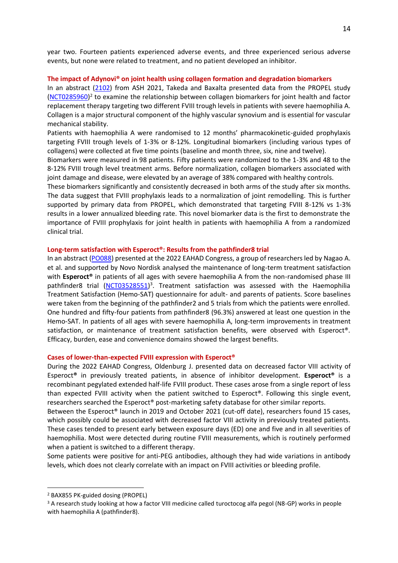year two. Fourteen patients experienced adverse events, and three experienced serious adverse events, but none were related to treatment, and no patient developed an inhibitor.

#### **The impact of Adynovi® on joint health using collagen formation and degradation biomarkers**

In an abstract [\(2102\)](https://ash.confex.com/ash/2021/webprogram/Paper150139.html) from ASH 2021, Takeda and Baxalta presented data from the PROPEL study [\(NCT0285960\)](https://clinicaltrials.gov/ct2/show/NCT02585960)<sup>2</sup> to examine the relationship between collagen biomarkers for joint health and factor replacement therapy targeting two different FVIII trough levels in patients with severe haemophilia A. Collagen is a major structural component of the highly vascular synovium and is essential for vascular mechanical stability.

Patients with haemophilia A were randomised to 12 months' pharmacokinetic-guided prophylaxis targeting FVIII trough levels of 1-3% or 8-12%. Longitudinal biomarkers (including various types of collagens) were collected at five time points (baseline and month three, six, nine and twelve).

Biomarkers were measured in 98 patients. Fifty patients were randomized to the 1-3% and 48 to the 8-12% FVIII trough level treatment arms. Before normalization, collagen biomarkers associated with joint damage and disease, were elevated by an average of 38% compared with healthy controls.

These biomarkers significantly and consistently decreased in both arms of the study after six months. The data suggest that FVIII prophylaxis leads to a normalization of joint remodelling. This is further supported by primary data from PROPEL, which demonstrated that targeting FVIII 8-12% vs 1-3% results in a lower annualized bleeding rate. This novel biomarker data is the first to demonstrate the importance of FVIII prophylaxis for joint health in patients with haemophilia A from a randomized clinical trial.

#### **Long-term satisfaction with Esperoct®: Results from the pathfinder8 trial**

In an abstract [\(PO088\)](https://onlinelibrary.wiley.com/doi/10.1111/hae.14479) presented at the 2022 EAHAD Congress, a group of researchers led by Nagao A. et al. and supported by Novo Nordisk analysed the maintenance of long-term treatment satisfaction with **Esperoct<sup>®</sup>** in patients of all ages with severe haemophilia A from the non-randomised phase III pathfinder8 trial [\(NCT03528551\)](https://clinicaltrials.gov/ct2/show/NCT03528551)<sup>3</sup>. Treatment satisfaction was assessed with the Haemophilia Treatment Satisfaction (Hemo-SAT) questionnaire for adult- and parents of patients. Score baselines were taken from the beginning of the pathfinder2 and 5 trials from which the patients were enrolled. One hundred and fifty-four patients from pathfinder8 (96.3%) answered at least one question in the Hemo-SAT. In patients of all ages with severe haemophilia A, long-term improvements in treatment satisfaction, or maintenance of treatment satisfaction benefits, were observed with Esperoct®. Efficacy, burden, ease and convenience domains showed the largest benefits.

#### **Cases of lower-than-expected FVIII expression with Esperoct®**

During the 2022 EAHAD Congress, Oldenburg J. presented data on decreased factor VIII activity of Esperoct**®** in previously treated patients, in absence of inhibitor development. **Esperoct®** is a recombinant pegylated extended half-life FVIII product. These cases arose from a single report of less than expected FVIII activity when the patient switched to Esperoct®. Following this single event, researchers searched the Esperoct® post-marketing safety database for other similar reports.

Between the Esperoct® launch in 2019 and October 2021 (cut-off date), researchers found 15 cases, which possibly could be associated with decreased factor VIII activity in previously treated patients. These cases tended to present early between exposure days (ED) one and five and in all severities of haemophilia. Most were detected during routine FVIII measurements, which is routinely performed when a patient is switched to a different therapy.

Some patients were positive for anti-PEG antibodies, although they had wide variations in antibody levels, which does not clearly correlate with an impact on FVIII activities or bleeding profile.

<sup>2</sup> BAX855 PK-guided dosing (PROPEL)

<sup>&</sup>lt;sup>3</sup> A research study looking at how a factor VIII medicine called turoctocog alfa pegol (N8-GP) works in people with haemophilia A (pathfinder8).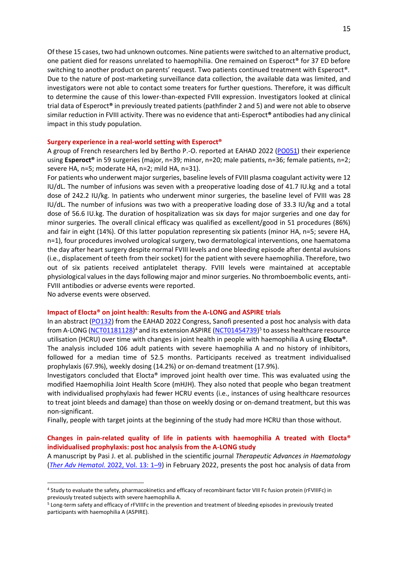Of these 15 cases, two had unknown outcomes. Nine patients were switched to an alternative product, one patient died for reasons unrelated to haemophilia. One remained on Esperoct® for 37 ED before switching to another product on parents' request. Two patients continued treatment with Esperoct®. Due to the nature of post-marketing surveillance data collection, the available data was limited, and investigators were not able to contact some treaters for further questions. Therefore, it was difficult to determine the cause of this lower-than-expected FVIII expression. Investigators looked at clinical trial data of Esperoct**®** in previously treated patients (pathfinder 2 and 5) and were not able to observe similar reduction in FVIII activity. There was no evidence that anti-Esperoct**®** antibodies had any clinical impact in this study population.

#### **Surgery experience in a real-world setting with Esperoct®**

A group of French researchers led by Bertho P.-O. reported at EAHAD 2022 [\(PO051\)](https://onlinelibrary.wiley.com/doi/10.1111/hae.14479) their experience using **Esperoct®** in 59 surgeries (major, n=39; minor, n=20; male patients, n=36; female patients, n=2; severe HA, n=5; moderate HA, n=2; mild HA, n=31).

For patients who underwent major surgeries, baseline levels of FVIII plasma coagulant activity were 12 IU/dL. The number of infusions was seven with a preoperative loading dose of 41.7 IU.kg and a total dose of 242.2 IU/kg. In patients who underwent minor surgeries, the baseline level of FVIII was 28 IU/dL. The number of infusions was two with a preoperative loading dose of 33.3 IU/kg and a total dose of 56.6 IU.kg. The duration of hospitalization was six days for major surgeries and one day for minor surgeries. The overall clinical efficacy was qualified as excellent/good in 51 procedures (86%) and fair in eight (14%). Of this latter population representing six patients (minor HA, n=5; severe HA, n=1), four procedures involved urological surgery, two dermatological interventions, one haematoma the day after heart surgery despite normal FVIII levels and one bleeding episode after dental avulsions (i.e., displacement of teeth from their socket) for the patient with severe haemophilia. Therefore, two out of six patients received antiplatelet therapy. FVIII levels were maintained at acceptable physiological values in the days following major and minor surgeries. No thromboembolic events, anti-FVIII antibodies or adverse events were reported.

No adverse events were observed.

#### **Impact of Elocta® on joint health: Results from the A-LONG and ASPIRE trials**

In an abstract [\(PO132\)](https://onlinelibrary.wiley.com/doi/10.1111/hae.14479) from the EAHAD 2022 Congress, Sanofi presented a post hoc analysis with data from A-LONG [\(NCT01181128\)](https://clinicaltrials.gov/ct2/show/NCT01181128)<sup>4</sup> and its extension ASPIRE [\(NCT01454739\)](https://www.clinicaltrials.gov/ct2/show/NCT01454739)<sup>5</sup> to assess healthcare resource utilisation (HCRU) over time with changes in joint health in people with haemophilia A using **Elocta®**.

The analysis included 106 adult patients with severe haemophilia A and no history of inhibitors, followed for a median time of 52.5 months. Participants received as treatment individualised prophylaxis (67.9%), weekly dosing (14.2%) or on-demand treatment (17.9%).

Investigators concluded that Elocta® improved joint health over time. This was evaluated using the modified Haemophilia Joint Health Score (mHJH). They also noted that people who began treatment with individualised prophylaxis had fewer HCRU events (i.e., instances of using healthcare resources to treat joint bleeds and damage) than those on weekly dosing or on-demand treatment, but this was non-significant.

Finally, people with target joints at the beginning of the study had more HCRU than those without.

#### **Changes in pain-related quality of life in patients with haemophilia A treated with Elocta® individualised prophylaxis: post hoc analysis from the A-LONG study**

A manuscript by Pasi J. et al. published in the scientific journal *Therapeutic Advances in Haematology* (*[Ther Adv Hematol.](https://pubmed.ncbi.nlm.nih.gov/35237394/)* 2022, Vol. 13: 1–9) in February 2022, presents the post hoc analysis of data from

<sup>4</sup> Study to evaluate the safety, pharmacokinetics and efficacy of recombinant factor VIII Fc fusion protein (rFVIIIFc) in previously treated subjects with severe haemophilia A.

<sup>5</sup> Long-term safety and efficacy of rFVIIIFc in the prevention and treatment of bleeding episodes in previously treated participants with haemophilia A (ASPIRE).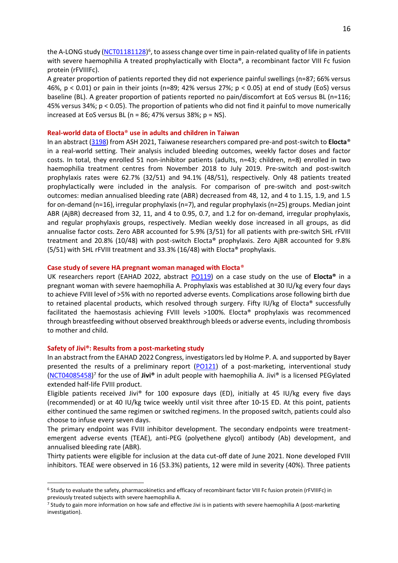the A-LONG study [\(NCT01181128\)](https://clinicaltrials.gov/ct2/show/NCT01181128)<sup>6</sup>, to assess change over time in pain-related quality of life in patients with severe haemophilia A treated prophylactically with Elocta®, a recombinant factor VIII Fc fusion protein (rFVIIIFc).

A greater proportion of patients reported they did not experience painful swellings (n=87; 66% versus 46%, p < 0.01) or pain in their joints (n=89; 42% versus 27%; p < 0.05) at end of study (EoS) versus baseline (BL). A greater proportion of patients reported no pain/discomfort at EoS versus BL (n=116; 45% versus 34%; p < 0.05). The proportion of patients who did not find it painful to move numerically increased at EoS versus BL ( $n = 86$ ; 47% versus 38%;  $p = NS$ ).

#### **Real-world data of Elocta**® **use in adults and children in Taiwan**

In an abstract [\(3198\)](https://ash.confex.com/ash/2021/webprogram/Paper152066.html) from ASH 2021, Taiwanese researchers compared pre-and post-switch to **Elocta**® in a real-world setting. Their analysis included bleeding outcomes, weekly factor doses and factor costs. In total, they enrolled 51 non-inhibitor patients (adults, n=43; children, n=8) enrolled in two haemophilia treatment centres from November 2018 to July 2019. Pre-switch and post-switch prophylaxis rates were 62.7% (32/51) and 94.1% (48/51), respectively. Only 48 patients treated prophylactically were included in the analysis. For comparison of pre-switch and post-switch outcomes: median annualised bleeding rate (ABR) decreased from 48, 12, and 4 to 1.15, 1.9, and 1.5 for on-demand (n=16), irregular prophylaxis (n=7), and regular prophylaxis (n=25) groups. Median joint ABR (AjBR) decreased from 32, 11, and 4 to 0.95, 0.7, and 1.2 for on-demand, irregular prophylaxis, and regular prophylaxis groups, respectively. Median weekly dose increased in all groups, as did annualise factor costs. Zero ABR accounted for 5.9% (3/51) for all patients with pre-switch SHL rFVIII treatment and 20.8% (10/48) with post-switch Elocta® prophylaxis. Zero AjBR accounted for 9.8% (5/51) with SHL rFVIII treatment and 33.3% (16/48) with Elocta® prophylaxis.

#### **Case study of severe HA pregnant woman managed with Elocta**®

UK researchers report (EAHAD 2022, abstract [PO119\)](https://onlinelibrary.wiley.com/doi/10.1111/hae.14479) on a case study on the use of **Elocta®** in a pregnant woman with severe haemophilia A. Prophylaxis was established at 30 IU/kg every four days to achieve FVIII level of >5% with no reported adverse events. Complications arose following birth due to retained placental products, which resolved through surgery. Fifty IU/kg of Elocta® successfully facilitated the haemostasis achieving FVIII levels >100%. Elocta® prophylaxis was recommenced through breastfeeding without observed breakthrough bleeds or adverse events, including thrombosis to mother and child.

#### **Safety of Jivi®: Results from a post-marketing study**

In an abstract from the EAHAD 2022 Congress, investigators led by Holme P. A. and supported by Bayer presented the results of a preliminary report [\(PO121\)](https://onlinelibrary.wiley.com/doi/10.1111/hae.14479) of a post-marketing, interventional study [\(NCT04085458\)](https://clinicaltrials.gov/ct2/show/NCT04085458) 7 for the use of **Jivi®** in adult people with haemophilia A. Jivi® is a licensed PEGylated extended half-life FVIII product.

Eligible patients received Jivi® for 100 exposure days (ED), initially at 45 IU/kg every five days (recommended) or at 40 IU/kg twice weekly until visit three after 10-15 ED. At this point, patients either continued the same regimen or switched regimens. In the proposed switch, patients could also choose to infuse every seven days.

The primary endpoint was FVIII inhibitor development. The secondary endpoints were treatmentemergent adverse events (TEAE), anti-PEG (polyethene glycol) antibody (Ab) development, and annualised bleeding rate (ABR).

Thirty patients were eligible for inclusion at the data cut-off date of June 2021. None developed FVIII inhibitors. TEAE were observed in 16 (53.3%) patients, 12 were mild in severity (40%). Three patients

<sup>6</sup> Study to evaluate the safety, pharmacokinetics and efficacy of recombinant factor VIII Fc fusion protein (rFVIIIFc) in previously treated subjects with severe haemophilia A.

<sup>&</sup>lt;sup>7</sup> Study to gain more information on how safe and effective Jivi is in patients with severe haemophilia A (post-marketing investigation).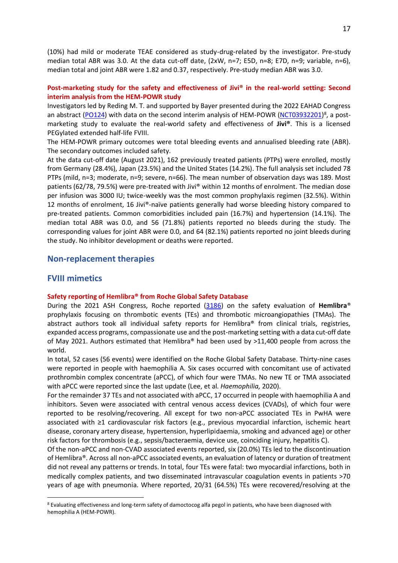(10%) had mild or moderate TEAE considered as study-drug-related by the investigator. Pre-study median total ABR was 3.0. At the data cut-off date, (2xW, n=7; E5D, n=8; E7D, n=9; variable, n=6), median total and joint ABR were 1.82 and 0.37, respectively. Pre-study median ABR was 3.0.

# **Post-marketing study for the safety and effectiveness of Jivi® in the real-world setting: Second interim analysis from the HEM-POWR study**

Investigators led by Reding M. T. and supported by Bayer presented during the 2022 EAHAD Congress an abstract [\(PO124\)](https://onlinelibrary.wiley.com/doi/10.1111/hae.14479) with data on the second interim analysis of HEM-POWR [\(NCT03932201\)](https://clinicaltrials.gov/ct2/show/NCT03932201)<sup>8</sup>, a postmarketing study to evaluate the real-world safety and effectiveness of **Jivi®**. This is a licensed PEGylated extended half-life FVIII.

The HEM-POWR primary outcomes were total bleeding events and annualised bleeding rate (ABR). The secondary outcomes included safety.

At the data cut-off date (August 2021), 162 previously treated patients (PTPs) were enrolled, mostly from Germany (28.4%), Japan (23.5%) and the United States (14.2%). The full analysis set included 78 PTPs (mild, n=3; moderate, n=9; severe, n=66). The mean number of observation days was 189. Most patients (62/78, 79.5%) were pre-treated with Jivi® within 12 months of enrolment. The median dose per infusion was 3000 IU; twice-weekly was the most common prophylaxis regimen (32.5%). Within 12 months of enrolment, 16 Jivi®-naïve patients generally had worse bleeding history compared to pre-treated patients. Common comorbidities included pain (16.7%) and hypertension (14.1%). The median total ABR was 0.0, and 56 (71.8%) patients reported no bleeds during the study. The corresponding values for joint ABR were 0.0, and 64 (82.1%) patients reported no joint bleeds during the study. No inhibitor development or deaths were reported.

## **Non-replacement therapies**

# **FVIII mimetics**

#### **Safety reporting of Hemlibra® from Roche Global Safety Database**

During the 2021 ASH Congress, Roche reported [\(3186\)](https://ash.confex.com/ash/2021/webprogram/Paper146147.html) on the safety evaluation of **Hemlibra**® prophylaxis focusing on thrombotic events (TEs) and thrombotic microangiopathies (TMAs). The abstract authors took all individual safety reports for Hemlibra® from clinical trials, registries, expanded access programs, compassionate use and the post-marketing setting with a data cut-off date of May 2021. Authors estimated that Hemlibra® had been used by >11,400 people from across the world.

In total, 52 cases (56 events) were identified on the Roche Global Safety Database. Thirty-nine cases were reported in people with haemophilia A. Six cases occurred with concomitant use of activated prothrombin complex concentrate (aPCC), of which four were TMAs. No new TE or TMA associated with aPCC were reported since the last update (Lee, et al. *Haemophilia,* 2020).

For the remainder 37 TEs and not associated with aPCC, 17 occurred in people with haemophilia A and inhibitors. Seven were associated with central venous access devices (CVADs), of which four were reported to be resolving/recovering. All except for two non-aPCC associated TEs in PwHA were associated with ≥1 cardiovascular risk factors (e.g., previous myocardial infarction, ischemic heart disease, coronary artery disease, hypertension, hyperlipidaemia, smoking and advanced age) or other risk factors for thrombosis (e.g., sepsis/bacteraemia, device use, coinciding injury, hepatitis C).

Of the non-aPCC and non-CVAD associated events reported, six (20.0%) TEs led to the discontinuation of Hemlibra®. Across all non-aPCC associated events, an evaluation of latency or duration of treatment did not reveal any patterns or trends. In total, four TEs were fatal: two myocardial infarctions, both in medically complex patients, and two disseminated intravascular coagulation events in patients >70 years of age with pneumonia. Where reported, 20/31 (64.5%) TEs were recovered/resolving at the

<sup>8</sup> Evaluating effectiveness and long-term safety of damoctocog alfa pegol in patients, who have been diagnosed with hemophilia A (HEM-POWR).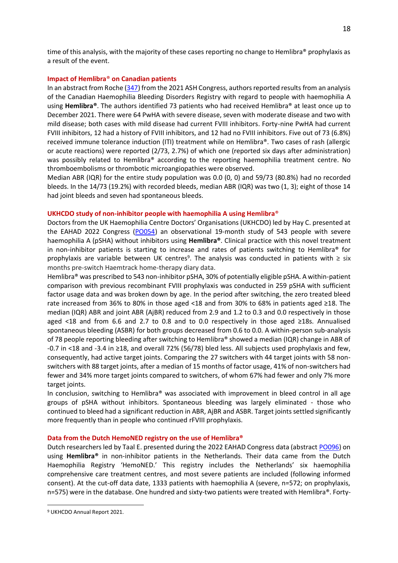time of this analysis, with the majority of these cases reporting no change to Hemlibra<sup>®</sup> prophylaxis as a result of the event.

## **Impact of Hemlibra**® **on Canadian patients**

In an abstract from Roche [\(347\)](https://ash.confex.com/ash/2021/webprogram/Paper147195.html) from the 2021 ASH Congress, authors reported results from an analysis of the Canadian Haemophilia Bleeding Disorders Registry with regard to people with haemophilia A using **Hemlibra®**. The authors identified 73 patients who had received Hemlibra® at least once up to December 2021. There were 64 PwHA with severe disease, seven with moderate disease and two with mild disease; both cases with mild disease had current FVIII inhibitors. Forty-nine PwHA had current FVIII inhibitors, 12 had a history of FVIII inhibitors, and 12 had no FVIII inhibitors. Five out of 73 (6.8%) received immune tolerance induction (ITI) treatment while on Hemlibra®. Two cases of rash (allergic or acute reactions) were reported (2/73, 2.7%) of which one (reported six days after administration) was possibly related to Hemlibra® according to the reporting haemophilia treatment centre. No thromboembolisms or thrombotic microangiopathies were observed.

Median ABR (IQR) for the entire study population was 0.0 (0, 0) and 59/73 (80.8%) had no recorded bleeds. In the 14/73 (19.2%) with recorded bleeds, median ABR (IQR) was two (1, 3); eight of those 14 had joint bleeds and seven had spontaneous bleeds.

#### **UKHCDO study of non-inhibitor people with haemophilia A using Hemlibra**®

Doctors from the UK Haemophilia Centre Doctors' Organisations (UKHCDO) led by Hay C. presented at the EAHAD 2022 Congress [\(PO054\)](https://onlinelibrary.wiley.com/doi/10.1111/hae.14479) an observational 19-month study of 543 people with severe haemophilia A (pSHA) without inhibitors using **Hemlibra®**. Clinical practice with this novel treatment in non-inhibitor patients is starting to increase and rates of patients switching to Hemlibra® for prophylaxis are variable between UK centres<sup>9</sup>. The analysis was conducted in patients with  $\geq$  six months pre-switch Haemtrack home-therapy diary data.

Hemlibra® was prescribed to 543 non-inhibitor pSHA, 30% of potentially eligible pSHA. A within-patient comparison with previous recombinant FVIII prophylaxis was conducted in 259 pSHA with sufficient factor usage data and was broken down by age. In the period after switching, the zero treated bleed rate increased from 36% to 80% in those aged <18 and from 30% to 68% in patients aged ≥18. The median (IQR) ABR and joint ABR (AjBR) reduced from 2.9 and 1.2 to 0.3 and 0.0 respectively in those aged <18 and from 6.6 and 2.7 to 0.8 and to 0.0 respectively in those aged ≥18s. Annualised spontaneous bleeding (ASBR) for both groups decreased from 0.6 to 0.0. A within-person sub-analysis of 78 people reporting bleeding after switching to Hemlibra® showed a median (IQR) change in ABR of -0.7 in <18 and -3.4 in ≥18, and overall 72% (56/78) bled less. All subjects used prophylaxis and few, consequently, had active target joints. Comparing the 27 switchers with 44 target joints with 58 nonswitchers with 88 target joints, after a median of 15 months of factor usage, 41% of non-switchers had fewer and 34% more target joints compared to switchers, of whom 67% had fewer and only 7% more target joints.

In conclusion, switching to Hemlibra® was associated with improvement in bleed control in all age groups of pSHA without inhibitors. Spontaneous bleeding was largely eliminated - those who continued to bleed had a significant reduction in ABR, AjBR and ASBR. Target joints settled significantly more frequently than in people who continued rFVIII prophylaxis.

#### **Data from the Dutch HemoNED registry on the use of Hemlibra®**

Dutch researchers led by Taal E. presented during the 2022 EAHAD Congress data (abstract [PO096\)](https://onlinelibrary.wiley.com/doi/10.1111/hae.14479) on using **Hemlibra®** in non-inhibitor patients in the Netherlands. Their data came from the Dutch Haemophilia Registry 'HemoNED.' This registry includes the Netherlands' six haemophilia comprehensive care treatment centres, and most severe patients are included (following informed consent). At the cut-off data date, 1333 patients with haemophilia A (severe, n=572; on prophylaxis, n=575) were in the database. One hundred and sixty-two patients were treated with Hemlibra®. Forty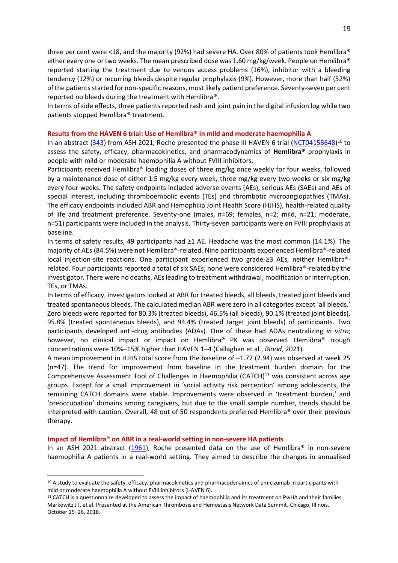three per cent were <18, and the majority (92%) had severe HA. Over 80% of patients took Hemlibra® either every one or two weeks. The mean prescribed dose was 1,60 mg/kg/week. People on Hemlibra® reported starting the treatment due to venous access problems (16%), inhibitor with a bleeding tendency (12%) or recurring bleeds despite regular prophylaxis (9%). However, more than half (52%) of the patients started for non-specific reasons, most likely patient preference. Seventy-seven per cent reported no bleeds during the treatment with Hemlibra®.

In terms of side effects, three patients reported rash and joint pain in the digital infusion log while two patients stopped Hemlibra® treatment.

#### **Results from the HAVEN 6 trial: Use of Hemlibra® in mild and moderate haemophilia A**

In an abstract [\(343\)](https://ash.confex.com/ash/2021/webprogram/Paper146009.html) from ASH 2021, Roche presented the phase III HAVEN 6 trial [\(NCT04158648\)](https://clinicaltrials.gov/ct2/show/NCT04158648)<sup>10</sup> to assess the safety, efficacy, pharmacokinetics, and pharmacodynamics of **Hemlibra®** prophylaxis in people with mild or moderate haemophilia A without FVIII inhibitors.

Participants received Hemlibra® loading doses of three mg/kg once weekly for four weeks, followed by a maintenance dose of either 1.5 mg/kg every week, three mg/kg every two weeks or six mg/kg every four weeks. The safety endpoints included adverse events (AEs), serious AEs (SAEs) and AEs of special interest, including thromboembolic events (TEs) and thrombotic microangiopathies (TMAs). The efficacy endpoints included ABR and Hemophilia Joint Health Score (HJHS), health-related quality of life and treatment preference. Seventy-one (males, n=69; females, n=2; mild, n=21; moderate, n=51) participants were included in the analysis. Thirty-seven participants were on FVIII prophylaxis at baseline.

In terms of safety results, 49 participants had ≥1 AE. Headache was the most common (14.1%). The majority of AEs (84.5%) were not Hemlibra®-related. Nine participants experienced Hemlibra®-related local injection-site reactions. One participant experienced two grade-≥3 AEs, neither Hemlibra® related. Four participants reported a total of six SAEs; none were considered Hemlibra®-related by the investigator. There were no deaths, AEs leading to treatment withdrawal, modification or interruption, TEs, or TMAs.

In terms of efficacy, investigators looked at ABR for treated bleeds, all bleeds, treated joint bleeds and treated spontaneous bleeds. The calculated median ABR were zero in all categories except 'all bleeds.' Zero bleeds were reported for 80.3% (treated bleeds), 46.5% (all bleeds), 90.1% (treated joint bleeds), 95.8% (treated spontaneous bleeds), and 94.4% (treated target joint bleeds) of participants. Two participants developed anti-drug antibodies (ADAs). One of these had ADAs neutralizing *in vitro*; however, no clinical impact or impact on Hemlibra® PK was observed. Hemlibra® trough concentrations were 10%–15% higher than HAVEN 1–4 (Callaghan et al., *Blood*, 2021).

A mean improvement in HJHS total score from the baseline of –1.77 (2.94) was observed at week 25 (n=47). The trend for improvement from baseline in the treatment burden domain for the Comprehensive Assessment Tool of Challenges in Haemophilia (CATCH) <sup>11</sup> was consistent across age groups. Except for a small improvement in 'social activity risk perception' among adolescents, the remaining CATCH domains were stable. Improvements were observed in 'treatment burden,' and 'preoccupation' domains among caregivers, but due to the small sample number, trends should be interpreted with caution. Overall, 48 out of 50 respondents preferred Hemlibra® over their previous therapy.

#### **Impact of Hemlibra**® **on ABR in a real-world setting in non-severe HA patients**

In an ASH 2021 abstract [\(1961\)](https://ash.confex.com/ash/2021/webprogram/Paper147945.html), Roche presented data on the use of Hemlibra<sup>®</sup> in non-severe haemophilia A patients in a real-world setting. They aimed to describe the changes in annualised

<sup>&</sup>lt;sup>10</sup> A study to evaluate the safety, efficacy, pharmacokinetics and pharmacodynaimcs of emicizumab in participants with mild or moderate haemophilia A without FVIII inhibitors (HAVEN 6).

 $11$  CATCH is a questionnaire developed to assess the impact of haemophilia and its treatment on PwHA and their families. Markowitz JT, et al. Presented at the American Thrombosis and Hemostasis Network Data Summit. Chicago, Illinois. October 25-26, 2018.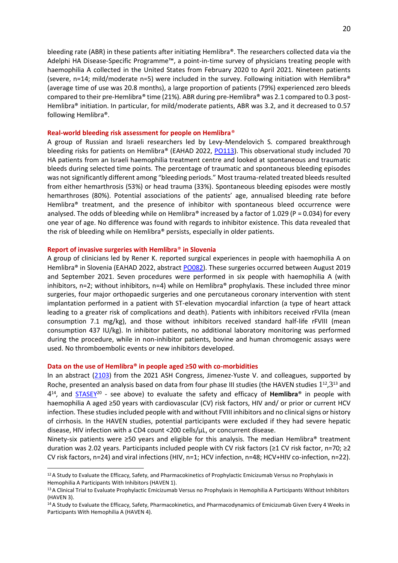bleeding rate (ABR) in these patients after initiating Hemlibra®. The researchers collected data via the Adelphi HA Disease-Specific Programme™, a point-in-time survey of physicians treating people with haemophilia A collected in the United States from February 2020 to April 2021. Nineteen patients (severe, n=14; mild/moderate n=5) were included in the survey. Following initiation with Hemlibra<sup>®</sup> (average time of use was 20.8 months), a large proportion of patients (79%) experienced zero bleeds compared to their pre-Hemlibra® time (21%). ABR during pre-Hemlibra® was 2.1 compared to 0.3 post-Hemlibra® initiation. In particular, for mild/moderate patients, ABR was 3.2, and it decreased to 0.57 following Hemlibra®.

#### **Real-world bleeding risk assessment for people on Hemlibra**®

A group of Russian and Israeli researchers led by Levy-Mendelovich S. compared breakthrough bleeding risks for patients on Hemlibra® (EAHAD 2022, [PO113\)](https://onlinelibrary.wiley.com/doi/10.1111/hae.14479). This observational study included 70 HA patients from an Israeli haemophilia treatment centre and looked at spontaneous and traumatic bleeds during selected time points. The percentage of traumatic and spontaneous bleeding episodes was not significantly different among "bleeding periods." Most trauma-related treated bleeds resulted from either hemarthrosis (53%) or head trauma (33%). Spontaneous bleeding episodes were mostly hemarthroses (80%). Potential associations of the patients' age, annualised bleeding rate before Hemlibra® treatment, and the presence of inhibitor with spontaneous bleed occurrence were analysed. The odds of bleeding while on Hemlibra® increased by a factor of 1.029 (P = 0.034) for every one year of age. No difference was found with regards to inhibitor existence. This data revealed that the risk of bleeding while on Hemlibra® persists, especially in older patients.

#### **Report of invasive surgeries with Hemlibra**® **in Slovenia**

A group of clinicians led by Rener K. reported surgical experiences in people with haemophilia A on Hemlibra® in Slovenia (EAHAD 2022, abstract [PO082\)](https://onlinelibrary.wiley.com/doi/10.1111/hae.14479). These surgeries occurred between August 2019 and September 2021. Seven procedures were performed in six people with haemophilia A (with inhibitors, n=2; without inhibitors, n=4) while on Hemlibra® prophylaxis. These included three minor surgeries, four major orthopaedic surgeries and one percutaneous coronary intervention with stent implantation performed in a patient with ST-elevation myocardial infarction (a type of heart attack leading to a greater risk of complications and death). Patients with inhibitors received rFVIIa (mean consumption 7.1 mg/kg), and those without inhibitors received standard half-life rFVIII (mean consumption 437 IU/kg). In inhibitor patients, no additional laboratory monitoring was performed during the procedure, while in non-inhibitor patients, bovine and human chromogenic assays were used. No thromboembolic events or new inhibitors developed.

#### **Data on the use of Hemlibra® in people aged ≥50 with co-morbidities**

In an abstract [\(2103\)](https://ash.confex.com/ash/2021/webprogram/Paper145703.html) from the 2021 ASH Congress, Jimenez-Yuste V. and colleagues, supported by Roche, presented an analysis based on data from four phase III studies (the HAVEN studies  $1^{12},3^{13}$  $1^{12},3^{13}$  $1^{12},3^{13}$  $1^{12},3^{13}$  and [4](https://clinicaltrials.gov/ct2/show/NCT03020160) 14 , and [STASEY](https://clinicaltrials.gov/ct2/show/NCT03191799)<sup>20</sup> - see above) to evaluate the safety and efficacy of **Hemlibra**® in people with haemophilia A aged ≥50 years with cardiovascular (CV) risk factors, HIV and/ or prior or current HCV infection. These studies included people with and without FVIII inhibitors and no clinical signs or history of cirrhosis. In the HAVEN studies, potential participants were excluded if they had severe hepatic disease, HIV infection with a CD4 count <200 cells/μL, or concurrent disease.

Ninety-six patients were ≥50 years and eligible for this analysis. The median Hemlibra® treatment duration was 2.02 years. Participants included people with CV risk factors (≥1 CV risk factor, n=70; ≥2 CV risk factors, n=24) and viral infections (HIV, n=1; HCV infection, n=48; HCV+HIV co-infection, n=22).

<sup>&</sup>lt;sup>12</sup> A Study to Evaluate the Efficacy, Safety, and Pharmacokinetics of Prophylactic Emicizumab Versus no Prophylaxis in Hemophilia A Participants With Inhibitors (HAVEN 1).

<sup>13</sup> A Clinical Trial to Evaluate Prophylactic Emicizumab Versus no Prophylaxis in Hemophilia A Participants Without Inhibitors (HAVEN 3).

<sup>&</sup>lt;sup>14</sup> A Study to Evaluate the Efficacy, Safety, Pharmacokinetics, and Pharmacodynamics of Emicizumab Given Every 4 Weeks in Participants With Hemophilia A (HAVEN 4).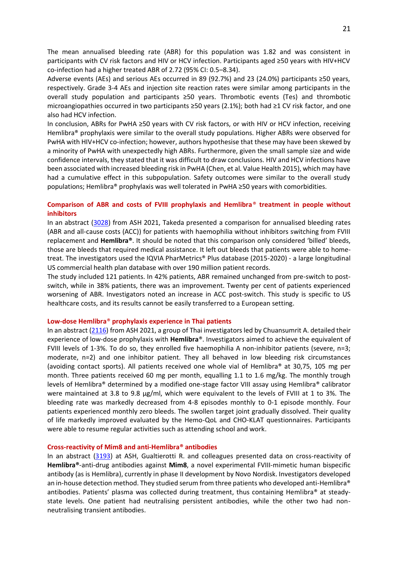The mean annualised bleeding rate (ABR) for this population was 1.82 and was consistent in participants with CV risk factors and HIV or HCV infection. Participants aged ≥50 years with HIV+HCV co-infection had a higher treated ABR of 2.72 (95% CI: 0.5–8.34).

Adverse events (AEs) and serious AEs occurred in 89 (92.7%) and 23 (24.0%) participants ≥50 years, respectively. Grade 3-4 AEs and injection site reaction rates were similar among participants in the overall study population and participants ≥50 years. Thrombotic events (Tes) and thrombotic microangiopathies occurred in two participants ≥50 years (2.1%); both had ≥1 CV risk factor, and one also had HCV infection.

In conclusion, ABRs for PwHA ≥50 years with CV risk factors, or with HIV or HCV infection, receiving Hemlibra® prophylaxis were similar to the overall study populations. Higher ABRs were observed for PwHA with HIV+HCV co-infection; however, authors hypothesise that these may have been skewed by a minority of PwHA with unexpectedly high ABRs. Furthermore, given the small sample size and wide confidence intervals, they stated that it was difficult to draw conclusions. HIV and HCV infections have been associated with increased bleeding risk in PwHA (Chen, et al. Value Health 2015), which may have had a cumulative effect in this subpopulation. Safety outcomes were similar to the overall study populations; Hemlibra® prophylaxis was well tolerated in PwHA ≥50 years with comorbidities.

# **Comparison of ABR and costs of FVIII prophylaxis and Hemlibra**® **treatment in people without inhibitors**

In an abstract [\(3028\)](https://ash.confex.com/ash/2021/webprogram/Paper146616.html) from ASH 2021, Takeda presented a comparison for annualised bleeding rates (ABR and all-cause costs (ACC)) for patients with haemophilia without inhibitors switching from FVIII replacement and **Hemlibra®**. It should be noted that this comparison only considered 'billed' bleeds, those are bleeds that required medical assistance. It left out bleeds that patients were able to hometreat. The investigators used the IQVIA PharMetrics® Plus database (2015-2020) - a large longitudinal US commercial health plan database with over 190 million patient records.

The study included 121 patients. In 42% patients, ABR remained unchanged from pre-switch to postswitch, while in 38% patients, there was an improvement. Twenty per cent of patients experienced worsening of ABR. Investigators noted an increase in ACC post-switch. This study is specific to US healthcare costs, and its results cannot be easily transferred to a European setting.

#### **Low-dose Hemlibra**® **prophylaxis experience in Thai patients**

In an abstract [\(2116\)](https://ash.confex.com/ash/2021/webprogram/Paper147630.html) from ASH 2021, a group of Thai investigators led by Chuansumrit A. detailed their experience of low-dose prophylaxis with **Hemlibra**®. Investigators aimed to achieve the equivalent of FVIII levels of 1-3%. To do so, they enrolled five haemophilia A non-inhibitor patients (severe, n=3; moderate, n=2) and one inhibitor patient. They all behaved in low bleeding risk circumstances (avoiding contact sports). All patients received one whole vial of Hemlibra® at 30,75, 105 mg per month. Three patients received 60 mg per month, equalling 1.1 to 1.6 mg/kg. The monthly trough levels of Hemlibra® determined by a modified one-stage factor VIII assay using Hemlibra® calibrator were maintained at 3.8 to 9.8 µg/ml, which were equivalent to the levels of FVIII at 1 to 3%. The bleeding rate was markedly decreased from 4-8 episodes monthly to 0-1 episode monthly. Four patients experienced monthly zero bleeds. The swollen target joint gradually dissolved. Their quality of life markedly improved evaluated by the Hemo-QoL and CHO-KLAT questionnaires. Participants were able to resume regular activities such as attending school and work.

#### **Cross-reactivity of Mim8 and anti-Hemlibra® antibodies**

In an abstract [\(3193\)](https://ash.confex.com/ash/2021/webprogram/Paper151221.html) at ASH, Gualtierotti R. and colleagues presented data on cross-reactivity of **Hemlibra®**-anti-drug antibodies against **Mim8**, a novel experimental FVIII-mimetic human bispecific antibody (as is Hemlibra), currently in phase II development by Novo Nordisk. Investigators developed an in-house detection method. They studied serum from three patients who developed anti-Hemlibra® antibodies. Patients' plasma was collected during treatment, thus containing Hemlibra® at steadystate levels. One patient had neutralising persistent antibodies, while the other two had nonneutralising transient antibodies.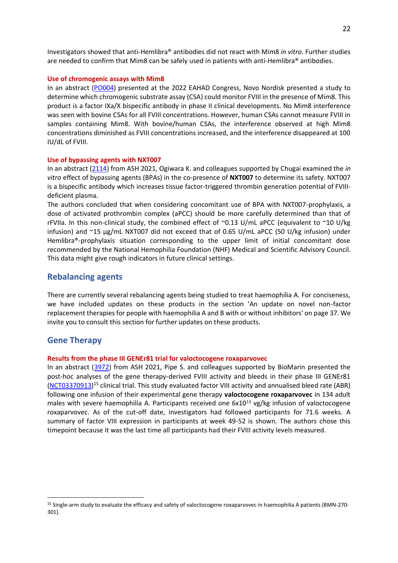Investigators showed that anti-Hemlibra® antibodies did not react with Mim8 *in vitro*. Further studies are needed to confirm that Mim8 can be safely used in patients with anti-Hemlibra® antibodies.

#### **Use of chromogenic assays with Mim8**

In an abstract [\(PO004\)](https://onlinelibrary.wiley.com/doi/10.1111/hae.14479) presented at the 2022 EAHAD Congress, Novo Nordisk presented a study to determine which chromogenic substrate assay (CSA) could monitor FVIII in the presence of Mim8. This product is a factor IXa/X bispecific antibody in phase II clinical developments. No Mim8 interference was seen with bovine CSAs for all FVIII concentrations. However, human CSAs cannot measure FVIII in samples containing Mim8. With bovine/human CSAs, the interference observed at high Mim8 concentrations diminished as FVIII concentrations increased, and the interference disappeared at 100 IU/dL of FVIII.

#### **Use of bypassing agents with NXT007**

In an abstract [\(2114\)](https://ash.confex.com/ash/2021/webprogram/Paper149412.html) from ASH 2021, Ogiwara K. and colleagues supported by Chugai examined the *in vitro* effect of bypassing agents (BPAs) in the co-presence of **NXT007** to determine its safety. NXT007 is a bispecific antibody which increases tissue factor-triggered thrombin generation potential of FVIIIdeficient plasma.

The authors concluded that when considering concomitant use of BPA with NXT007-prophylaxis, a dose of activated prothrombin complex (aPCC) should be more carefully determined than that of rFVIIa. In this non-clinical study, the combined effect of ~0.13 U/mL aPCC (equivalent to ~10 U/kg infusion) and ~15 μg/mL NXT007 did not exceed that of 0.65 U/mL aPCC (50 U/kg infusion) under Hemlibra®-prophylaxis situation corresponding to the upper limit of initial concomitant dose recommended by the National Hemophilia Foundation (NHF) Medical and Scientific Advisory Council. This data might give rough indicators in future clinical settings.

# **Rebalancing agents**

There are currently several rebalancing agents being studied to treat haemophilia A. For conciseness, we have included updates on these products in the section 'An update on novel non-factor replacement therapies for people with haemophilia A and B with or without inhibitors' on page 37. We invite you to consult this section for further updates on these products.

# **Gene Therapy**

#### **Results from the phase III GENEr81 trial for valoctocogene roxaparvovec**

In an abstract [\(3972\)](https://ash.confex.com/ash/2021/webprogram/Paper144508.html) from ASH 2021, Pipe S. and colleagues supported by BioMarin presented the post-hoc analyses of the gene therapy-derived FVIII activity and bleeds in their phase III GENEr81 [\(NCT03370913\)](https://clinicaltrials.gov/ct2/show/NCT03370913)<sup>15</sup> clinical trial. This study evaluated factor VIII activity and annualised bleed rate (ABR) following one infusion of their experimental gene therapy **valoctocogene roxaparvovec** in 134 adult males with severe haemophilia A. Participants received one  $6x10^{13}$  vg/kg infusion of valoctocogene roxaparvovec. As of the cut-off date, investigators had followed participants for 71.6 weeks. A summary of factor VIII expression in participants at week 49-52 is shown. The authors chose this timepoint because it was the last time all participants had their FVIII activity levels measured.

<sup>15</sup> Single-arm study to evaluate the efficacy and safety of valoctocogene roxaparvovec in haemophilia A patients (BMN-270- 301).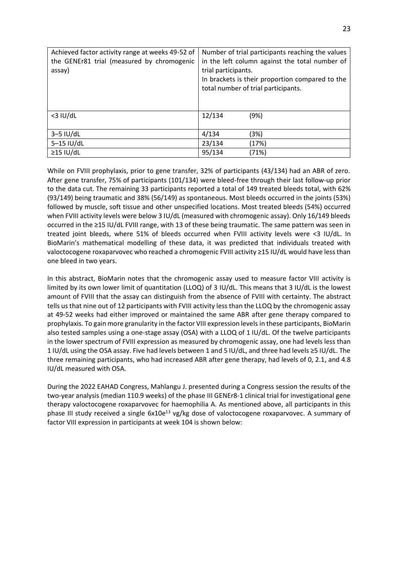| Achieved factor activity range at weeks 49-52 of<br>the GENEr81 trial (measured by chromogenic<br>assay) | Number of trial participants reaching the values<br>in the left column against the total number of<br>trial participants.<br>In brackets is their proportion compared to the<br>total number of trial participants. |
|----------------------------------------------------------------------------------------------------------|---------------------------------------------------------------------------------------------------------------------------------------------------------------------------------------------------------------------|
| $<$ 3 IU/dL                                                                                              | 12/134<br>(9%)                                                                                                                                                                                                      |
| $3-5$ IU/dL                                                                                              | 4/134<br>(3%)                                                                                                                                                                                                       |
| 5-15 IU/dL                                                                                               | 23/134<br>(17%)                                                                                                                                                                                                     |
| $\geq$ 15 IU/dL                                                                                          | 95/134<br>(71%)                                                                                                                                                                                                     |

While on FVIII prophylaxis, prior to gene transfer, 32% of participants (43/134) had an ABR of zero. After gene transfer, 75% of participants (101/134) were bleed-free through their last follow-up prior to the data cut. The remaining 33 participants reported a total of 149 treated bleeds total, with 62% (93/149) being traumatic and 38% (56/149) as spontaneous. Most bleeds occurred in the joints (53%) followed by muscle, soft tissue and other unspecified locations. Most treated bleeds (54%) occurred when FVIII activity levels were below 3 IU/dL (measured with chromogenic assay). Only 16/149 bleeds occurred in the ≥15 IU/dL FVIII range, with 13 of these being traumatic. The same pattern was seen in treated joint bleeds, where 51% of bleeds occurred when FVIII activity levels were <3 IU/dL. In BioMarin's mathematical modelling of these data, it was predicted that individuals treated with valoctocogene roxaparvovec who reached a chromogenic FVIII activity ≥15 IU/dL would have less than one bleed in two years.

In this abstract, BioMarin notes that the chromogenic assay used to measure factor VIII activity is limited by its own lower limit of quantitation (LLOQ) of 3 IU/dL. This means that 3 IU/dL is the lowest amount of FVIII that the assay can distinguish from the absence of FVIII with certainty. The abstract tells us that nine out of 12 participants with FVIII activity less than the LLOQ by the chromogenic assay at 49-52 weeks had either improved or maintained the same ABR after gene therapy compared to prophylaxis. To gain more granularity in the factor VIII expression levels in these participants, BioMarin also tested samples using a one-stage assay (OSA) with a LLOQ of 1 IU/dL. Of the twelve participants in the lower spectrum of FVIII expression as measured by chromogenic assay, one had levels less than 1 IU/dL using the OSA assay. Five had levels between 1 and 5 IU/dL, and three had levels ≥5 IU/dL. The three remaining participants, who had increased ABR after gene therapy, had levels of 0, 2.1, and 4.8 IU/dL measured with OSA.

During the 2022 EAHAD Congress, Mahlangu J. presented during a Congress session the results of the two-year analysis (median 110.9 weeks) of the phase III GENEr8-1 clinical trial for investigational gene therapy valoctocogene roxaparvovec for haemophilia A. As mentioned above, all participants in this phase III study received a single  $6x10e^{13}$  vg/kg dose of valoctocogene roxaparvovec. A summary of factor VIII expression in participants at week 104 is shown below: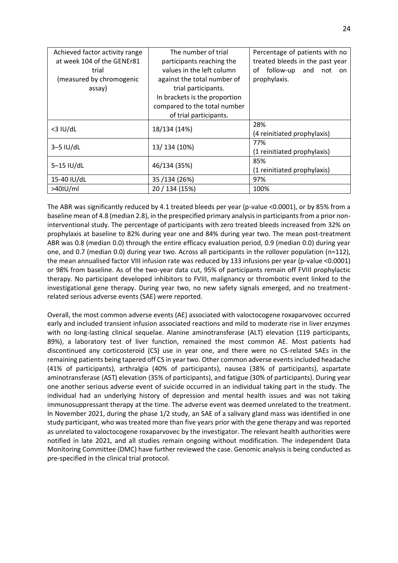| Achieved factor activity range | The number of trial           | Percentage of patients with no   |  |  |  |
|--------------------------------|-------------------------------|----------------------------------|--|--|--|
| at week 104 of the GENEr81     | participants reaching the     | treated bleeds in the past year  |  |  |  |
| trial                          | values in the left column     | follow-up and<br>of<br>not<br>on |  |  |  |
| (measured by chromogenic       | against the total number of   | prophylaxis.                     |  |  |  |
| assay)                         | trial participants.           |                                  |  |  |  |
|                                | In brackets is the proportion |                                  |  |  |  |
|                                | compared to the total number  |                                  |  |  |  |
|                                | of trial participants.        |                                  |  |  |  |
| $<$ 3 IU/dL                    | 18/134 (14%)                  | 28%                              |  |  |  |
|                                |                               | (4 reinitiated prophylaxis)      |  |  |  |
| $3-5$ IU/dL                    | 13/ 134 (10%)                 | 77%                              |  |  |  |
|                                |                               | (1 reinitiated prophylaxis)      |  |  |  |
| 5-15 IU/dL                     | 46/134 (35%)                  | 85%                              |  |  |  |
|                                |                               | (1 reinitiated prophylaxis)      |  |  |  |
| 15-40 IU/dL                    | 35 /134 (26%)                 | 97%                              |  |  |  |
| $>40$ IU/ml                    | 20 / 134 (15%)                | 100%                             |  |  |  |

The ABR was significantly reduced by 4.1 treated bleeds per year (p-value <0.0001), or by 85% from a baseline mean of 4.8 (median 2.8), in the prespecified primary analysis in participants from a prior noninterventional study. The percentage of participants with zero treated bleeds increased from 32% on prophylaxis at baseline to 82% during year one and 84% during year two. The mean post-treatment ABR was 0.8 (median 0.0) through the entire efficacy evaluation period, 0.9 (median 0.0) during year one, and 0.7 (median 0.0) during year two. Across all participants in the rollover population (n=112), the mean annualised factor VIII infusion rate was reduced by 133 infusions per year (p-value <0.0001) or 98% from baseline. As of the two-year data cut, 95% of participants remain off FVIII prophylactic therapy. No participant developed inhibitors to FVIII, malignancy or thrombotic event linked to the investigational gene therapy. During year two, no new safety signals emerged, and no treatmentrelated serious adverse events (SAE) were reported.

Overall, the most common adverse events (AE) associated with valoctocogene roxaparvovec occurred early and included transient infusion associated reactions and mild to moderate rise in liver enzymes with no long-lasting clinical sequelae. Alanine aminotransferase (ALT) elevation (119 participants, 89%), a laboratory test of liver function, remained the most common AE. Most patients had discontinued any corticosteroid (CS) use in year one, and there were no CS-related SAEs in the remaining patients being tapered off CS in year two. Other common adverse events included headache (41% of participants), arthralgia (40% of participants), nausea (38% of participants), aspartate aminotransferase (AST) elevation (35% of participants), and fatigue (30% of participants). During year one another serious adverse event of suicide occurred in an individual taking part in the study. The individual had an underlying history of depression and mental health issues and was not taking immunosuppressant therapy at the time. The adverse event was deemed unrelated to the treatment. In November 2021, during the phase 1/2 study, an SAE of a salivary gland mass was identified in one study participant, who was treated more than five years prior with the gene therapy and was reported as unrelated to valoctocogene roxaparvovec by the investigator. The relevant health authorities were notified in late 2021, and all studies remain ongoing without modification. The independent Data Monitoring Committee (DMC) have further reviewed the case. Genomic analysis is being conducted as pre-specified in the clinical trial protocol.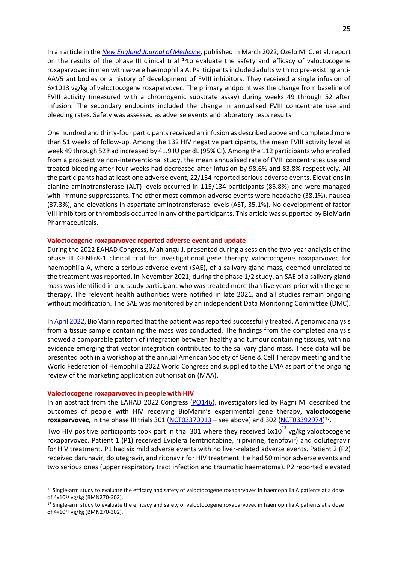In an article in the *[New England Journal of Medicine](https://www.nejm.org/doi/10.1056/NEJMoa2113708)*, published in March 2022, Ozelo M. C. et al. report on the results of the phase III clinical trial  $^{16}$ to evaluate the safety and efficacy of valoctocogene roxaparvovec in men with severe haemophilia A. Participants included adults with no pre-existing anti-AAV5 antibodies or a history of development of FVIII inhibitors. They received a single infusion of 6×1013 vg/kg of valoctocogene roxaparvovec. The primary endpoint was the change from baseline of FVIII activity (measured with a chromogenic substrate assay) during weeks 49 through 52 after infusion. The secondary endpoints included the change in annualised FVIII concentrate use and bleeding rates. Safety was assessed as adverse events and laboratory tests results.

One hundred and thirty-four participants received an infusion as described above and completed more than 51 weeks of follow-up. Among the 132 HIV negative participants, the mean FVIII activity level at week 49 through 52 had increased by 41.9 IU per dL (95% CI). Among the 112 participants who enrolled from a prospective non-interventional study, the mean annualised rate of FVIII concentrates use and treated bleeding after four weeks had decreased after infusion by 98.6% and 83.8% respectively. All the participants had at least one adverse event, 22/134 reported serious adverse events. Elevations in alanine aminotransferase (ALT) levels occurred in 115/134 participants (85.8%) and were managed with immune suppressants. The other most common adverse events were headache (38.1%), nausea (37.3%), and elevations in aspartate aminotransferase levels (AST, 35.1%). No development of factor VIII inhibitors or thrombosis occurred in any of the participants. This article was supported by BioMarin Pharmaceuticals.

#### **Valoctocogene roxaparvovec reported adverse event and update**

During the 2022 EAHAD Congress, Mahlangu J. presented during a session the two-year analysis of the phase III GENEr8-1 clinical trial for investigational gene therapy valoctocogene roxaparvovec for haemophilia A, where a serious adverse event (SAE), of a salivary gland mass, deemed unrelated to the treatment was reported. In November 2021, during the phase 1/2 study, an SAE of a salivary gland mass was identified in one study participant who was treated more than five years prior with the gene therapy. The relevant health authorities were notified in late 2021, and all studies remain ongoing without modification. The SAE was monitored by an independent Data Monitoring Committee (DMC).

I[n April 2022,](https://investors.biomarin.com/2022-04-27-BioMarin-Announces-Record-Revenues-in-First-Quarter-2022) BioMarin reported that the patient was reported successfully treated. A genomic analysis from a tissue sample containing the mass was conducted. The findings from the completed analysis showed a comparable pattern of integration between healthy and tumour containing tissues, with no evidence emerging that vector integration contributed to the salivary gland mass. These data will be presented both in a workshop at the annual American Society of Gene & Cell Therapy meeting and the World Federation of Hemophilia 2022 World Congress and supplied to the EMA as part of the ongoing review of the marketing application authorisation (MAA).

#### **Valoctocogene roxaparvovec in people with HIV**

In an abstract from the EAHAD 2022 Congress [\(PO146\)](https://onlinelibrary.wiley.com/doi/10.1111/hae.14479), investigators led by Ragni M. described the outcomes of people with HIV receiving BioMarin's experimental gene therapy, **valoctocogene**  roxaparvovec, in the phase III trials 301 [\(NCT03370913](https://clinicaltrials.gov/ct2/show/NCT03370913) - see above) and 302 [\(NCT03392974\)](https://clinicaltrials.gov/ct2/show/NCT03392974)<sup>17</sup>.

Two HIV positive participants took part in trial 301 where they received  $6x10^{13}$  vg/kg valoctocogene roxaparvovec. Patient 1 (P1) received Eviplera (emtricitabine, rilpivirine, tenofovir) and dolutegravir for HIV treatment. P1 had six mild adverse events with no liver-related adverse events. Patient 2 (P2) received darunavir, dolutegravir, and ritonavir for HIV treatment. He had 50 minor adverse events and two serious ones (upper respiratory tract infection and traumatic haematoma). P2 reported elevated

<sup>&</sup>lt;sup>16</sup> Single-arm study to evaluate the efficacy and safety of valoctocogene roxaparvovec in haemophilia A patients at a dose of 4x10<sup>13</sup> vg/kg (BMN270-302).

<sup>&</sup>lt;sup>17</sup> Single-arm study to evaluate the efficacy and safety of valoctocogene roxaparvovec in haemophilia A patients at a dose of 4x10<sup>13</sup> vg/kg (BMN270-302).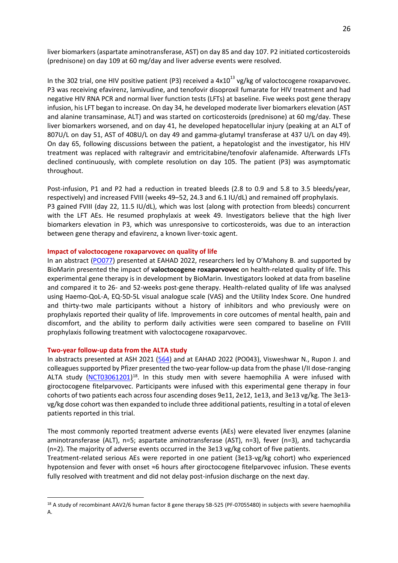liver biomarkers (aspartate aminotransferase, AST) on day 85 and day 107. P2 initiated corticosteroids (prednisone) on day 109 at 60 mg/day and liver adverse events were resolved.

In the 302 trial, one HIV positive patient (P3) received a  $4x10^{13}$  vg/kg of valoctocogene roxaparvovec. P3 was receiving efavirenz, lamivudine, and tenofovir disoproxil fumarate for HIV treatment and had negative HIV RNA PCR and normal liver function tests (LFTs) at baseline. Five weeks post gene therapy infusion, his LFT began to increase. On day 34, he developed moderate liver biomarkers elevation (AST and alanine transaminase, ALT) and was started on corticosteroids (prednisone) at 60 mg/day. These liver biomarkers worsened, and on day 41, he developed hepatocellular injury (peaking at an ALT of 807U/L on day 51, AST of 408U/L on day 49 and gamma-glutamyl transferase at 437 U/L on day 49). On day 65, following discussions between the patient, a hepatologist and the investigator, his HIV treatment was replaced with raltegravir and emtricitabine/tenofovir alafenamide. Afterwards LFTs declined continuously, with complete resolution on day 105. The patient (P3) was asymptomatic throughout.

Post-infusion, P1 and P2 had a reduction in treated bleeds (2.8 to 0.9 and 5.8 to 3.5 bleeds/year, respectively) and increased FVIII (weeks 49–52, 24.3 and 6.1 IU/dL) and remained off prophylaxis. P3 gained FVIII (day 22, 11.5 IU/dL), which was lost (along with protection from bleeds) concurrent with the LFT AEs. He resumed prophylaxis at week 49. Investigators believe that the high liver biomarkers elevation in P3, which was unresponsive to corticosteroids, was due to an interaction between gene therapy and efavirenz, a known liver-toxic agent.

#### **Impact of valoctocogene roxaparvovec on quality of life**

In an abstract [\(PO077](https://onlinelibrary.wiley.com/doi/10.1111/hae.14479)) presented at EAHAD 2022, researchers led by O'Mahony B. and supported by BioMarin presented the impact of **valoctocogene roxaparvovec** on health-related quality of life. This experimental gene therapy is in development by BioMarin. Investigators looked at data from baseline and compared it to 26- and 52-weeks post-gene therapy. Health-related quality of life was analysed using Haemo-QoL-A, EQ-5D-5L visual analogue scale (VAS) and the Utility Index Score. One hundred and thirty-two male participants without a history of inhibitors and who previously were on prophylaxis reported their quality of life. Improvements in core outcomes of mental health, pain and discomfort, and the ability to perform daily activities were seen compared to baseline on FVIII prophylaxis following treatment with valoctocogene roxaparvovec.

#### **Two-year follow-up data from the ALTA study**

In abstracts presented at ASH 2021 [\(564\)](https://ash.confex.com/ash/2021/webprogram/Paper148651.html) and at EAHAD 2022 (PO043), Visweshwar N., Rupon J. and colleagues supported by Pfizer presented the two-year follow-up data from the phase I/II dose-ranging ALTA study [\(NCT03061201\)](https://clinicaltrials.gov/ct2/show/NCT03061201)<sup>18</sup>. In this study men with severe haemophilia A were infused with giroctocogene fitelparvovec. Participants were infused with this experimental gene therapy in four cohorts of two patients each across four ascending doses 9e11, 2e12, 1e13, and 3e13 vg/kg. The 3e13 vg/kg dose cohort was then expanded to include three additional patients, resulting in a total of eleven patients reported in this trial.

The most commonly reported treatment adverse events (AEs) were elevated liver enzymes (alanine aminotransferase (ALT), n=5; aspartate aminotransferase (AST), n=3), fever (n=3), and tachycardia (n=2). The majority of adverse events occurred in the 3e13 vg/kg cohort of five patients.

Treatment-related serious AEs were reported in one patient (3e13-vg/kg cohort) who experienced hypotension and fever with onset ≈6 hours after giroctocogene fitelparvovec infusion. These events fully resolved with treatment and did not delay post-infusion discharge on the next day.

<sup>&</sup>lt;sup>18</sup> A study of recombinant AAV2/6 human factor 8 gene therapy SB-525 (PF-07055480) in subjects with severe haemophilia A.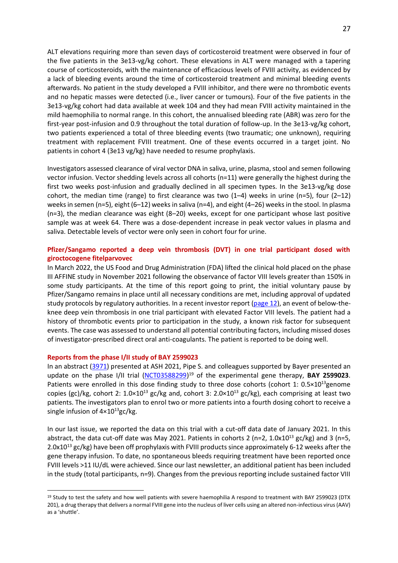ALT elevations requiring more than seven days of corticosteroid treatment were observed in four of the five patients in the 3e13-vg/kg cohort. These elevations in ALT were managed with a tapering course of corticosteroids, with the maintenance of efficacious levels of FVIII activity, as evidenced by a lack of bleeding events around the time of corticosteroid treatment and minimal bleeding events afterwards. No patient in the study developed a FVIII inhibitor, and there were no thrombotic events and no hepatic masses were detected (i.e., liver cancer or tumours). Four of the five patients in the 3e13-vg/kg cohort had data available at week 104 and they had mean FVIII activity maintained in the mild haemophilia to normal range. In this cohort, the annualised bleeding rate (ABR) was zero for the first-year post-infusion and 0.9 throughout the total duration of follow-up. In the 3e13-vg/kg cohort, two patients experienced a total of three bleeding events (two traumatic; one unknown), requiring treatment with replacement FVIII treatment. One of these events occurred in a target joint. No patients in cohort 4 (3e13 vg/kg) have needed to resume prophylaxis.

Investigators assessed clearance of viral vector DNA in saliva, urine, plasma, stool and semen following vector infusion. Vector shedding levels across all cohorts (n=11) were generally the highest during the first two weeks post-infusion and gradually declined in all specimen types. In the 3e13-vg/kg dose cohort, the median time (range) to first clearance was two  $(1-4)$  weeks in urine (n=5), four  $(2-12)$ weeksin semen (n=5), eight (6–12) weeks in saliva (n=4), and eight (4–26) weeks in the stool. In plasma (n=3), the median clearance was eight (8–20) weeks, except for one participant whose last positive sample was at week 64. There was a dose-dependent increase in peak vector values in plasma and saliva. Detectable levels of vector were only seen in cohort four for urine.

# **Pfizer/Sangamo reported a deep vein thrombosis (DVT) in one trial participant dosed with giroctocogene fitelparvovec**

In March 2022, the US Food and Drug Administration (FDA) lifted the clinical hold placed on the phase III AFFINE study in November 2021 following the observance of factor VIII levels greater than 150% in some study participants. At the time of this report going to print, the initial voluntary pause by Pfizer/Sangamo remains in place until all necessary conditions are met, including approval of updated study protocols by regulatory authorities. In a recent investor report [\(page 12\)](https://s28.q4cdn.com/781576035/files/doc_financials/2022/q1/Q1-2022-PFE-Earnings-Release.pdf), an event of below-theknee deep vein thrombosis in one trial participant with elevated Factor VIII levels. The patient had a history of thrombotic events prior to participation in the study, a known risk factor for subsequent events. The case was assessed to understand all potential contributing factors, including missed doses of investigator-prescribed direct oral anti-coagulants. The patient is reported to be doing well.

#### **Reports from the phase I/II study of BAY 2599023**

In an abstract [\(3971\)](https://ash.confex.com/ash/2021/webprogram/Paper148661.html) presented at ASH 2021, Pipe S. and colleagues supported by Bayer presented an update on the phase I/II trial [\(NCT03588299\)](https://clinicaltrials.gov/ct2/show/NCT03588299) <sup>19</sup> of the experimental gene therapy, **BAY 2599023**. Patients were enrolled in this dose finding study to three dose cohorts (cohort 1:  $0.5 \times 10^{13}$ genome copies (gc)/kg, cohort 2:  $1.0 \times 10^{13}$  gc/kg and, cohort 3:  $2.0 \times 10^{13}$  gc/kg), each comprising at least two patients. The investigators plan to enrol two or more patients into a fourth dosing cohort to receive a single infusion of  $4\times10^{13}$ gc/kg.

In our last issue, we reported the data on this trial with a cut-off data date of January 2021. In this abstract, the data cut-off date was May 2021. Patients in cohorts 2 (n=2,  $1.0 \times 10^{13}$  gc/kg) and 3 (n=5, 2.0x10<sup>13</sup> gc/kg) have been off prophylaxis with FVIII products since approximately 6-12 weeks after the gene therapy infusion. To date, no spontaneous bleeds requiring treatment have been reported once FVIII levels >11 IU/dL were achieved. Since our last newsletter, an additional patient has been included in the study (total participants, n=9). Changes from the previous reporting include sustained factor VIII

<sup>&</sup>lt;sup>19</sup> Study to test the safety and how well patients with severe haemophilia A respond to treatment with BAY 2599023 (DTX 201), a drug therapy that delivers a normal FVIII gene into the nucleus of liver cells using an altered non-infectious virus (AAV) as a 'shuttle'.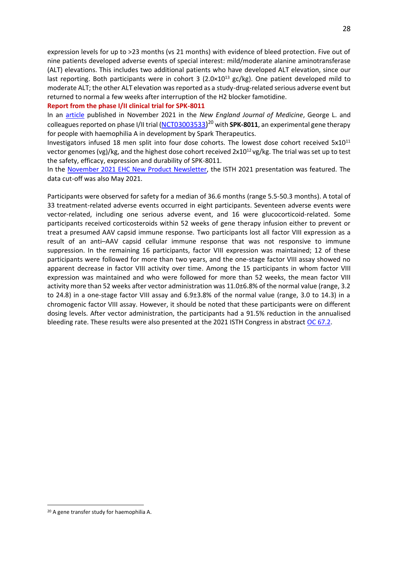expression levels for up to >23 months (vs 21 months) with evidence of bleed protection. Five out of nine patients developed adverse events of special interest: mild/moderate alanine aminotransferase (ALT) elevations. This includes two additional patients who have developed ALT elevation, since our last reporting. Both participants were in cohort 3 (2.0×10<sup>13</sup> gc/kg). One patient developed mild to moderate ALT; the other ALT elevation was reported as a study-drug-related serious adverse event but returned to normal a few weeks after interruption of the H2 blocker famotidine.

#### **Report from the phase I/II clinical trial for SPK-8011**

In an [article](https://www.nejm.org/doi/full/10.1056/NEJMoa2104205) published in November 2021 in the *New England Journal of Medicine*, George L. and colleagues reported on phase I/II trial ([NCT03003533](https://clinicaltrials.gov/ct2/show/NCT03003533?term=SPK-8011&draw=2&rank=1)) <sup>20</sup> with **SPK-8011**, an experimental gene therapy for people with haemophilia A in development by Spark Therapeutics.

Investigators infused 18 men split into four dose cohorts. The lowest dose cohort received 5x10<sup>11</sup> vector genomes (vg)/kg, and the highest dose cohort received 2x10<sup>12</sup> vg/kg. The trial was set up to test the safety, efficacy, expression and durability of SPK-8011.

In the [November 2021 EHC New Product Newsletter,](https://www.ehc.eu/wp-content/uploads/EHC-NPR-2021_2_FINAL_web.pdf) the ISTH 2021 presentation was featured. The data cut-off was also May 2021.

Participants were observed for safety for a median of 36.6 months (range 5.5-50.3 months). A total of 33 treatment-related adverse events occurred in eight participants. Seventeen adverse events were vector-related, including one serious adverse event, and 16 were glucocorticoid-related. Some participants received corticosteroids within 52 weeks of gene therapy infusion either to prevent or treat a presumed AAV capsid immune response. Two participants lost all factor VIII expression as a result of an anti–AAV capsid cellular immune response that was not responsive to immune suppression. In the remaining 16 participants, factor VIII expression was maintained; 12 of these participants were followed for more than two years, and the one-stage factor VIII assay showed no apparent decrease in factor VIII activity over time. Among the 15 participants in whom factor VIII expression was maintained and who were followed for more than 52 weeks, the mean factor VIII activity more than 52 weeks after vector administration was 11.0±6.8% of the normal value (range, 3.2 to 24.8) in a one-stage factor VIII assay and 6.9±3.8% of the normal value (range, 3.0 to 14.3) in a chromogenic factor VIII assay. However, it should be noted that these participants were on different dosing levels. After vector administration, the participants had a 91.5% reduction in the annualised bleeding rate. These results were also presented at the 2021 ISTH Congress in abstract [OC 67.2.](https://abstracts.isth.org/abstract/phase-i-ii-trial-of-spk-8011-stable-and-durable-fviii-expression-after-aav-gene-transfer-for-hemophilia-a/)

<sup>20</sup> A gene transfer study for haemophilia A.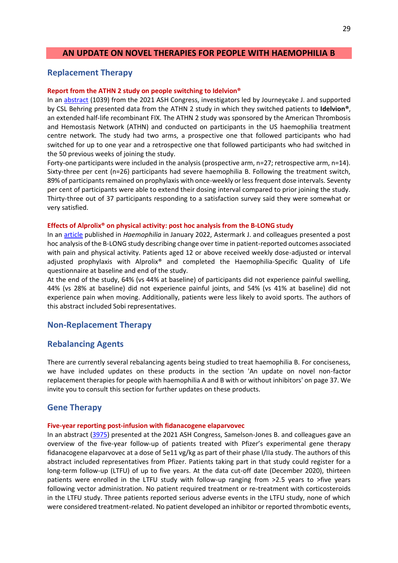# **AN UPDATE ON NOVEL THERAPIES FOR PEOPLE WITH HAEMOPHILIA B**

# **Replacement Therapy**

#### **Report from the ATHN 2 study on people switching to Idelvion®**

In an [abstract](https://ash.confex.com/ash/2021/webprogram/Paper144617.html) (1039) from the 2021 ASH Congress, investigators led by Journeycake J. and supported by CSL Behring presented data from the ATHN 2 study in which they switched patients to **Idelvion®**, an extended half-life recombinant FIX. The ATHN 2 study was sponsored by the American Thrombosis and Hemostasis Network (ATHN) and conducted on participants in the US haemophilia treatment centre network. The study had two arms, a prospective one that followed participants who had switched for up to one year and a retrospective one that followed participants who had switched in the 50 previous weeks of joining the study.

Forty-one participants were included in the analysis (prospective arm, n=27; retrospective arm, n=14). Sixty-three per cent (n=26) participants had severe haemophilia B. Following the treatment switch, 89% of participants remained on prophylaxis with once-weekly or less frequent dose intervals. Seventy per cent of participants were able to extend their dosing interval compared to prior joining the study. Thirty-three out of 37 participants responding to a satisfaction survey said they were somewhat or very satisfied.

#### **Effects of Alprolix® on physical activity: post hoc analysis from the B-LONG study**

In an [article](https://pubmed.ncbi.nlm.nih.gov/34761474/) published in *Haemophilia* in January 2022, Astermark J. and colleagues presented a post hoc analysis of the B-LONG study describing change over time in patient-reported outcomes associated with pain and physical activity. Patients aged 12 or above received weekly dose-adjusted or interval adjusted prophylaxis with Alprolix® and completed the Haemophilia-Specific Quality of Life questionnaire at baseline and end of the study.

At the end of the study, 64% (vs 44% at baseline) of participants did not experience painful swelling, 44% (vs 28% at baseline) did not experience painful joints, and 54% (vs 41% at baseline) did not experience pain when moving. Additionally, patients were less likely to avoid sports. The authors of this abstract included Sobi representatives.

# **Non-Replacement Therapy**

# **Rebalancing Agents**

There are currently several rebalancing agents being studied to treat haemophilia B. For conciseness, we have included updates on these products in the section 'An update on novel non-factor replacement therapies for people with haemophilia A and B with or without inhibitors' on page 37. We invite you to consult this section for further updates on these products.

# **Gene Therapy**

#### **Five-year reporting post-infusion with fidanacogene elaparvovec**

In an abstract [\(3975\)](https://ash.confex.com/ash/2021/webprogram/Paper150541.html) presented at the 2021 ASH Congress, Samelson-Jones B. and colleagues gave an overview of the five-year follow-up of patients treated with Pfizer's experimental gene therapy fidanacogene elaparvovec at a dose of 5e11 vg/kg as part of their phase I/IIa study. The authors of this abstract included representatives from Pfizer. Patients taking part in that study could register for a long-term follow-up (LTFU) of up to five years. At the data cut-off date (December 2020), thirteen patients were enrolled in the LTFU study with follow-up ranging from >2.5 years to >five years following vector administration. No patient required treatment or re-treatment with corticosteroids in the LTFU study. Three patients reported serious adverse events in the LTFU study, none of which were considered treatment-related. No patient developed an inhibitor or reported thrombotic events,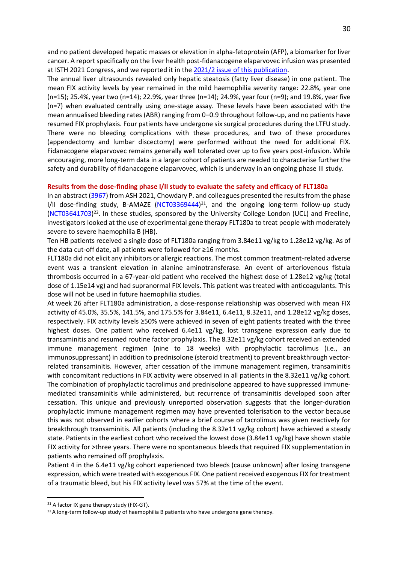and no patient developed hepatic masses or elevation in alpha-fetoprotein (AFP), a biomarker for liver cancer. A report specifically on the liver health post-fidanacogene elaparvovec infusion was presented at ISTH 2021 Congress, and we reported it in th[e 2021/2 issue of this publication.](https://www.ehc.eu/novel-treatment-products-newsletter/)

The annual liver ultrasounds revealed only hepatic steatosis (fatty liver disease) in one patient. The mean FIX activity levels by year remained in the mild haemophilia severity range: 22.8%, year one (n=15); 25.4%, year two (n=14); 22.9%, year three (n=14); 24.9%, year four (n=9); and 19.8%, year five (n=7) when evaluated centrally using one-stage assay. These levels have been associated with the mean annualised bleeding rates (ABR) ranging from 0–0.9 throughout follow-up, and no patients have resumed FIX prophylaxis. Four patients have undergone six surgical procedures during the LTFU study. There were no bleeding complications with these procedures, and two of these procedures (appendectomy and lumbar discectomy) were performed without the need for additional FIX. Fidanacogene elaparvovec remains generally well tolerated over up to five years post-infusion. While encouraging, more long-term data in a larger cohort of patients are needed to characterise further the safety and durability of fidanacogene elaparvovec, which is underway in an ongoing phase III study.

#### **Results from the dose-finding phase I/II study to evaluate the safety and efficacy of FLT180a**

In an abstract [\(3967\)](https://ash.confex.com/ash/2021/webprogram/Paper146546.html) from ASH 2021, Chowdary P. and colleagues presented the results from the phase I/II dose-finding study, B-AMAZE [\(NCT03369444\)](https://clinicaltrials.gov/ct2/show/NCT03369444)<sup>21</sup>, and the ongoing long-term follow-up study [\(NCT03641703\)](https://clinicaltrials.gov/ct2/show/NCT03641703)<sup>22</sup>. In these studies, sponsored by the University College London (UCL) and Freeline, investigators looked at the use of experimental gene therapy FLT180a to treat people with moderately severe to severe haemophilia B (HB).

Ten HB patients received a single dose of FLT180a ranging from 3.84e11 vg/kg to 1.28e12 vg/kg. As of the data cut-off date, all patients were followed for ≥16 months.

FLT180a did not elicit any inhibitors or allergic reactions. The most common treatment-related adverse event was a transient elevation in alanine aminotransferase. An event of arteriovenous fistula thrombosis occurred in a 67-year-old patient who received the highest dose of 1.28e12 vg/kg (total dose of 1.15e14 vg) and had supranormal FIX levels. This patient was treated with anticoagulants. This dose will not be used in future haemophilia studies.

At week 26 after FLT180a administration, a dose-response relationship was observed with mean FIX activity of 45.0%, 35.5%, 141.5%, and 175.5% for 3.84e11, 6.4e11, 8.32e11, and 1.28e12 vg/kg doses, respectively. FIX activity levels ≥50% were achieved in seven of eight patients treated with the three highest doses. One patient who received 6.4e11 vg/kg, lost transgene expression early due to transaminitis and resumed routine factor prophylaxis. The 8.32e11 vg/kg cohort received an extended immune management regimen (nine to 18 weeks) with prophylactic tacrolimus (i.e., an immunosuppressant) in addition to prednisolone (steroid treatment) to prevent breakthrough vectorrelated transaminitis. However, after cessation of the immune management regimen, transaminitis with concomitant reductions in FIX activity were observed in all patients in the 8.32e11 vg/kg cohort. The combination of prophylactic tacrolimus and prednisolone appeared to have suppressed immunemediated transaminitis while administered, but recurrence of transaminitis developed soon after cessation. This unique and previously unreported observation suggests that the longer-duration prophylactic immune management regimen may have prevented tolerisation to the vector because this was not observed in earlier cohorts where a brief course of tacrolimus was given reactively for breakthrough transaminitis. All patients (including the 8.32e11 vg/kg cohort) have achieved a steady state. Patients in the earliest cohort who received the lowest dose (3.84e11 vg/kg) have shown stable FIX activity for >three years. There were no spontaneous bleeds that required FIX supplementation in patients who remained off prophylaxis.

Patient 4 in the 6.4e11 vg/kg cohort experienced two bleeds (cause unknown) after losing transgene expression, which were treated with exogenous FIX. One patient received exogenous FIX for treatment of a traumatic bleed, but his FIX activity level was 57% at the time of the event.

 $21$  A factor IX gene therapy study (FIX-GT).

<sup>&</sup>lt;sup>22</sup> A long-term follow-up study of haemophilia B patients who have undergone gene therapy.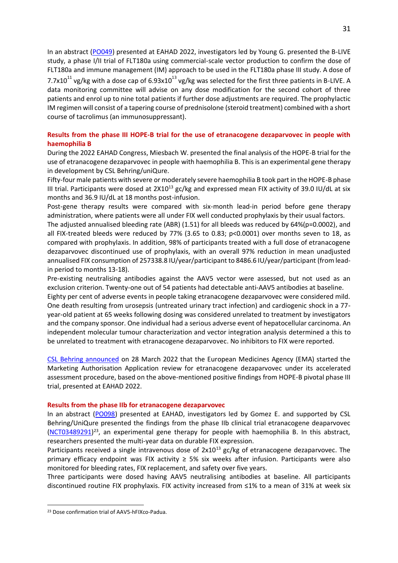In an abstract [\(PO049\)](https://onlinelibrary.wiley.com/doi/10.1111/hae.14479) presented at EAHAD 2022, investigators led by Young G. presented the B-LIVE study, a phase I/II trial of FLT180a using commercial-scale vector production to confirm the dose of FLT180a and immune management (IM) approach to be used in the FLT180a phase III study. A dose of 7.7x10<sup>11</sup> vg/kg with a dose cap of 6.93x10<sup>13</sup> vg/kg was selected for the first three patients in B-LIVE. A data monitoring committee will advise on any dose modification for the second cohort of three patients and enrol up to nine total patients if further dose adjustments are required. The prophylactic IM regimen will consist of a tapering course of prednisolone (steroid treatment) combined with a short course of tacrolimus (an immunosuppressant).

# **Results from the phase III HOPE-B trial for the use of etranacogene dezaparvovec in people with haemophilia B**

During the 2022 EAHAD Congress, Miesbach W. presented the final analysis of the HOPE-B trial for the use of etranacogene dezaparvovec in people with haemophilia B. This is an experimental gene therapy in development by CSL Behring/uniQure.

Fifty-four male patients with severe or moderately severe haemophilia B took part in the HOPE-B phase III trial. Participants were dosed at  $2X10^{13}$  gc/kg and expressed mean FIX activity of 39.0 IU/dL at six months and 36.9 IU/dL at 18 months post-infusion.

Post-gene therapy results were compared with six-month lead-in period before gene therapy administration, where patients were all under FIX well conducted prophylaxis by their usual factors.

The adjusted annualised bleeding rate (ABR) (1.51) for all bleeds was reduced by 64%(p=0.0002), and all FIX-treated bleeds were reduced by 77% (3.65 to 0.83; p<0.0001) over months seven to 18, as compared with prophylaxis. In addition, 98% of participants treated with a full dose of etranacogene dezaparvovec discontinued use of prophylaxis, with an overall 97% reduction in mean unadjusted annualised FIX consumption of 257338.8 IU/year/participant to 8486.6 IU/year/participant (from leadin period to months 13-18).

Pre-existing neutralising antibodies against the AAV5 vector were assessed, but not used as an exclusion criterion. Twenty-one out of 54 patients had detectable anti-AAV5 antibodies at baseline.

Eighty per cent of adverse events in people taking etranacogene dezaparvovec were considered mild. One death resulting from urosepsis (untreated urinary tract infection) and cardiogenic shock in a 77 year-old patient at 65 weeks following dosing was considered unrelated to treatment by investigators and the company sponsor. One individual had a serious adverse event of hepatocellular carcinoma. An independent molecular tumour characterization and vector integration analysis determined a this to be unrelated to treatment with etranacogene dezaparvovec. No inhibitors to FIX were reported.

[CSL Behring announced](https://www.cslbehring.com/newsroom/2022/ema-commences-review-of-novel-gene-therapy-candidate-etranadez-for-people-with-hemophilia-b) on 28 March 2022 that the European Medicines Agency (EMA) started the Marketing Authorisation Application review for etranacogene dezaparvovec under its accelerated assessment procedure, based on the above-mentioned positive findings from HOPE-B pivotal phase III trial, presented at EAHAD 2022.

#### **Results from the phase IIb for etranacogene dezaparvovec**

In an abstract [\(PO098\)](https://onlinelibrary.wiley.com/doi/10.1111/hae.14479) presented at EAHAD, investigators led by Gomez E. and supported by CSL Behring/UniQure presented the findings from the phase IIb clinical trial etranacogene deaparvovec [\(NCT03489291\)](https://clinicaltrials.gov/ct2/show/NCT03489291)<sup>23</sup>, an experimental gene therapy for people with haemophilia B. In this abstract, researchers presented the multi-year data on durable FIX expression.

Participants received a single intravenous dose of 2x10<sup>13</sup> gc/kg of etranacogene dezaparvovec. The primary efficacy endpoint was FIX activity ≥ 5% six weeks after infusion. Participants were also monitored for bleeding rates, FIX replacement, and safety over five years.

Three participants were dosed having AAV5 neutralising antibodies at baseline. All participants discontinued routine FIX prophylaxis. FIX activity increased from ≤1% to a mean of 31% at week six

<sup>23</sup> Dose confirmation trial of AAV5-hFIXco-Padua.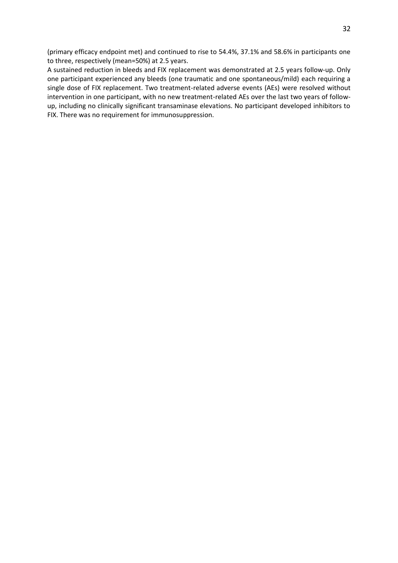(primary efficacy endpoint met) and continued to rise to 54.4%, 37.1% and 58.6% in participants one to three, respectively (mean=50%) at 2.5 years.

A sustained reduction in bleeds and FIX replacement was demonstrated at 2.5 years follow-up. Only one participant experienced any bleeds (one traumatic and one spontaneous/mild) each requiring a single dose of FIX replacement. Two treatment-related adverse events (AEs) were resolved without intervention in one participant, with no new treatment-related AEs over the last two years of followup, including no clinically significant transaminase elevations. No participant developed inhibitors to FIX. There was no requirement for immunosuppression.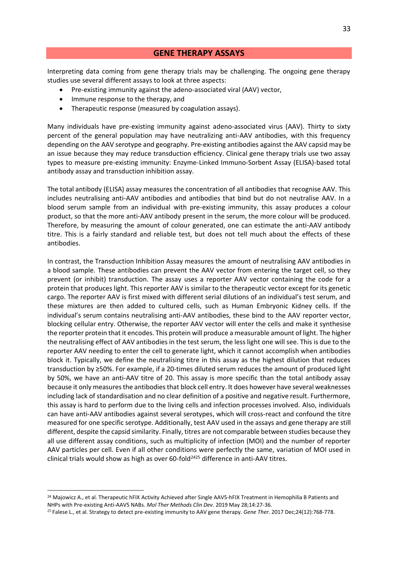# **GENE THERAPY ASSAYS**

Interpreting data coming from gene therapy trials may be challenging. The ongoing gene therapy studies use several different assays to look at three aspects:

- Pre-existing immunity against the adeno-associated viral (AAV) vector,
- Immune response to the therapy, and
- Therapeutic response (measured by coagulation assays).

Many individuals have pre-existing immunity against adeno-associated virus (AAV). Thirty to sixty percent of the general population may have neutralizing anti-AAV antibodies, with this frequency depending on the AAV serotype and geography. Pre-existing antibodies against the AAV capsid may be an issue because they may reduce transduction efficiency. Clinical gene therapy trials use two assay types to measure pre-existing immunity: Enzyme-Linked Immuno-Sorbent Assay (ELISA)-based total antibody assay and transduction inhibition assay.

The total antibody (ELISA) assay measures the concentration of all antibodies that recognise AAV. This includes neutralising anti-AAV antibodies and antibodies that bind but do not neutralise AAV. In a blood serum sample from an individual with pre-existing immunity, this assay produces a colour product, so that the more anti-AAV antibody present in the serum, the more colour will be produced. Therefore, by measuring the amount of colour generated, one can estimate the anti-AAV antibody titre. This is a fairly standard and reliable test, but does not tell much about the effects of these antibodies.

In contrast, the Transduction Inhibition Assay measures the amount of neutralising AAV antibodies in a blood sample. These antibodies can prevent the AAV vector from entering the target cell, so they prevent (or inhibit) transduction. The assay uses a reporter AAV vector containing the code for a protein that produces light. This reporter AAV is similar to the therapeutic vector except for its genetic cargo. The reporter AAV is first mixed with different serial dilutions of an individual's test serum, and these mixtures are then added to cultured cells, such as Human Embryonic Kidney cells. If the individual's serum contains neutralising anti-AAV antibodies, these bind to the AAV reporter vector, blocking cellular entry. Otherwise, the reporter AAV vector will enter the cells and make it synthesise the reporter protein that it encodes. This protein will produce a measurable amount of light. The higher the neutralising effect of AAV antibodies in the test serum, the less light one will see. This is due to the reporter AAV needing to enter the cell to generate light, which it cannot accomplish when antibodies block it. Typically, we define the neutralising titre in this assay as the highest dilution that reduces transduction by ≥50%. For example, if a 20-times diluted serum reduces the amount of produced light by 50%, we have an anti-AAV titre of 20. This assay is more specific than the total antibody assay because it only measures the antibodies that block cell entry. It does however have several weaknesses including lack of standardisation and no clear definition of a positive and negative result. Furthermore, this assay is hard to perform due to the living cells and infection processes involved. Also, individuals can have anti-AAV antibodies against several serotypes, which will cross-react and confound the titre measured for one specific serotype. Additionally, test AAV used in the assays and gene therapy are still different, despite the capsid similarity. Finally, titres are not comparable between studies because they all use different assay conditions, such as multiplicity of infection (MOI) and the number of reporter AAV particles per cell. Even if all other conditions were perfectly the same, variation of MOI used in clinical trials would show as high as over  $60$ -fold<sup>2425</sup> difference in anti-AAV titres.

<sup>&</sup>lt;sup>24</sup> Majowicz A., et al. Therapeutic hFIX Activity Achieved after Single AAV5-hFIX Treatment in Hemophilia B Patients and NHPs with Pre-existing Anti-AAV5 NABs. *Mol Ther Methods Clin Dev*. 2019 May 28;14:27-36.

<sup>25</sup> Falese L., et al. Strategy to detect pre-existing immunity to AAV gene therapy. *Gene Ther*. 2017 Dec;24(12):768-778.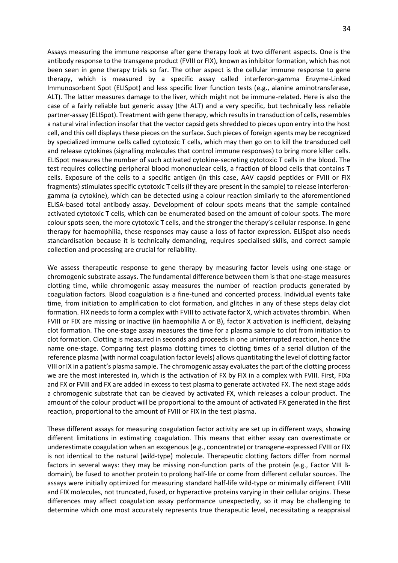Assays measuring the immune response after gene therapy look at two different aspects. One is the antibody response to the transgene product (FVIII or FIX), known as inhibitor formation, which has not been seen in gene therapy trials so far. The other aspect is the cellular immune response to gene therapy, which is measured by a specific assay called interferon-gamma Enzyme-Linked Immunosorbent Spot (ELISpot) and less specific liver function tests (e.g., alanine aminotransferase, ALT). The latter measures damage to the liver, which might not be immune-related. Here is also the case of a fairly reliable but generic assay (the ALT) and a very specific, but technically less reliable partner-assay (ELISpot). Treatment with gene therapy, which results in transduction of cells, resembles a natural viral infection insofar that the vector capsid gets shredded to pieces upon entry into the host cell, and this cell displays these pieces on the surface. Such pieces of foreign agents may be recognized by specialized immune cells called cytotoxic T cells, which may then go on to kill the transduced cell and release cytokines (signalling molecules that control immune responses) to bring more killer cells. ELISpot measures the number of such activated cytokine-secreting cytotoxic T cells in the blood. The test requires collecting peripheral blood mononuclear cells, a fraction of blood cells that contains T cells. Exposure of the cells to a specific antigen (in this case, AAV capsid peptides or FVIII or FIX fragments) stimulates specific cytotoxic T cells (if they are present in the sample) to release interferongamma (a cytokine), which can be detected using a colour reaction similarly to the aforementioned ELISA-based total antibody assay. Development of colour spots means that the sample contained activated cytotoxic T cells, which can be enumerated based on the amount of colour spots. The more colour spots seen, the more cytotoxic T cells, and the stronger the therapy's cellular response. In gene therapy for haemophilia, these responses may cause a loss of factor expression. ELISpot also needs standardisation because it is technically demanding, requires specialised skills, and correct sample collection and processing are crucial for reliability.

We assess therapeutic response to gene therapy by measuring factor levels using one-stage or chromogenic substrate assays. The fundamental difference between them is that one-stage measures clotting time, while chromogenic assay measures the number of reaction products generated by coagulation factors. Blood coagulation is a fine-tuned and concerted process. Individual events take time, from initiation to amplification to clot formation, and glitches in any of these steps delay clot formation. FIX needs to form a complex with FVIII to activate factor X, which activates thrombin. When FVIII or FIX are missing or inactive (in haemophilia A or B), factor X activation is inefficient, delaying clot formation. The one-stage assay measures the time for a plasma sample to clot from initiation to clot formation. Clotting is measured in seconds and proceeds in one uninterrupted reaction, hence the name one-stage. Comparing test plasma clotting times to clotting times of a serial dilution of the reference plasma (with normal coagulation factor levels) allows quantitating the level of clotting factor VIII or IX in a patient's plasma sample. The chromogenic assay evaluates the part of the clotting process we are the most interested in, which is the activation of FX by FIX in a complex with FVIII. First, FIXa and FX or FVIII and FX are added in excess to test plasma to generate activated FX. The next stage adds a chromogenic substrate that can be cleaved by activated FX, which releases a colour product. The amount of the colour product will be proportional to the amount of activated FX generated in the first reaction, proportional to the amount of FVIII or FIX in the test plasma.

These different assays for measuring coagulation factor activity are set up in different ways, showing different limitations in estimating coagulation. This means that either assay can overestimate or underestimate coagulation when an exogenous (e.g., concentrate) or transgene-expressed FVIII or FIX is not identical to the natural (wild-type) molecule. Therapeutic clotting factors differ from normal factors in several ways: they may be missing non-function parts of the protein (e.g., Factor VIII Bdomain), be fused to another protein to prolong half-life or come from different cellular sources. The assays were initially optimized for measuring standard half-life wild-type or minimally different FVIII and FIX molecules, not truncated, fused, or hyperactive proteins varying in their cellular origins. These differences may affect coagulation assay performance unexpectedly, so it may be challenging to determine which one most accurately represents true therapeutic level, necessitating a reappraisal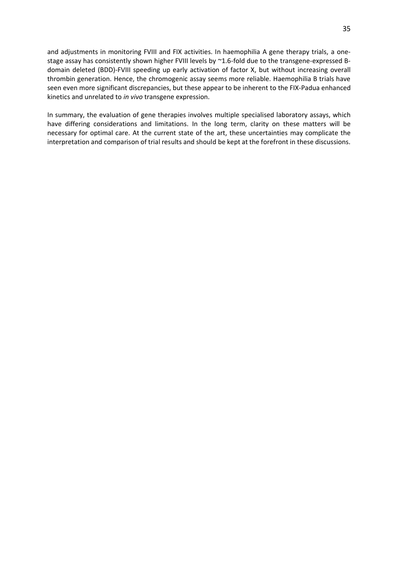and adjustments in monitoring FVIII and FIX activities. In haemophilia A gene therapy trials, a onestage assay has consistently shown higher FVIII levels by ~1.6-fold due to the transgene-expressed Bdomain deleted (BDD)-FVIII speeding up early activation of factor X, but without increasing overall thrombin generation. Hence, the chromogenic assay seems more reliable. Haemophilia B trials have seen even more significant discrepancies, but these appear to be inherent to the FIX-Padua enhanced kinetics and unrelated to *in vivo* transgene expression.

In summary, the evaluation of gene therapies involves multiple specialised laboratory assays, which have differing considerations and limitations. In the long term, clarity on these matters will be necessary for optimal care. At the current state of the art, these uncertainties may complicate the interpretation and comparison of trial results and should be kept at the forefront in these discussions.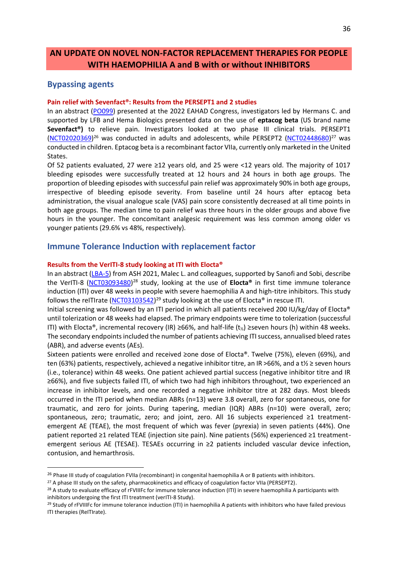# **AN UPDATE ON NOVEL NON-FACTOR REPLACEMENT THERAPIES FOR PEOPLE WITH HAEMOPHILIA A and B with or without INHIBITORS**

# **Bypassing agents**

#### **Pain relief with Sevenfact®: Results from the PERSEPT1 and 2 studies**

In an abstract [\(PO099\)](https://onlinelibrary.wiley.com/doi/10.1111/hae.14479) presented at the 2022 EAHAD Congress, investigators led by Hermans C. and supported by LFB and Hema Biologics presented data on the use of **eptacog beta** (US brand name **Sevenfact®)** to relieve pain. Investigators looked at two phase III clinical trials. PERSEPT1 [\(NCT02020369\)](https://clinicaltrials.gov/ct2/show/NCT02020369)<sup>26</sup> was conducted in adults and adolescents, while PERSEPT2 [\(NCT02448680\)](https://clinicaltrials.gov/ct2/show/NCT02448680)<sup>27</sup> was conducted in children. Eptacog beta is a recombinant factor VIIa, currently only marketed in the United States.

Of 52 patients evaluated, 27 were ≥12 years old, and 25 were <12 years old. The majority of 1017 bleeding episodes were successfully treated at 12 hours and 24 hours in both age groups. The proportion of bleeding episodes with successful pain relief was approximately 90% in both age groups, irrespective of bleeding episode severity. From baseline until 24 hours after eptacog beta administration, the visual analogue scale (VAS) pain score consistently decreased at all time points in both age groups. The median time to pain relief was three hours in the older groups and above five hours in the younger. The concomitant analgesic requirement was less common among older vs younger patients (29.6% vs 48%, respectively).

# **Immune Tolerance Induction with replacement factor**

#### **Results from the VerITI-8 study looking at ITI with Elocta®**

In an abstract [\(LBA-5\)](https://ash.confex.com/ash/2021/webprogram/Paper155156.html) from ASH 2021, Malec L. and colleagues, supported by Sanofi and Sobi, describe the VerITI-8 [\(NCT03093480\)](https://clinicaltrials.gov/ct2/show/NCT03093480) <sup>28</sup> study, looking at the use of **Elocta®** in first time immune tolerance induction (ITI) over 48 weeks in people with severe haemophilia A and high-titre inhibitors. This study follows the reITIrate [\(NCT03103542\)](https://clinicaltrials.gov/ct2/show/NCT03103542)<sup>29</sup> study looking at the use of Elocta® in rescue ITI.

Initial screening was followed by an ITI period in which all patients received 200 IU/kg/day of Elocta® until tolerization or 48 weeks had elapsed. The primary endpoints were time to tolerization (successful ITI) with Elocta®, incremental recovery (IR) ≥66%, and half-life (t<sub>%</sub>) ≥seven hours (h) within 48 weeks. The secondary endpoints included the number of patients achieving ITI success, annualised bleed rates (ABR), and adverse events (AEs).

Sixteen patients were enrolled and received ≥one dose of Elocta®. Twelve (75%), eleven (69%), and ten (63%) patients, respectively, achieved a negative inhibitor titre, an IR >66%, and a t½ ≥ seven hours (i.e., tolerance) within 48 weeks. One patient achieved partial success (negative inhibitor titre and IR ≥66%), and five subjects failed ITI, of which two had high inhibitors throughout, two experienced an increase in inhibitor levels, and one recorded a negative inhibitor titre at 282 days. Most bleeds occurred in the ITI period when median ABRs (n=13) were 3.8 overall, zero for spontaneous, one for traumatic, and zero for joints. During tapering, median (IQR) ABRs (n=10) were overall, zero; spontaneous, zero; traumatic, zero; and joint, zero. All 16 subjects experienced ≥1 treatmentemergent AE (TEAE), the most frequent of which was fever (pyrexia) in seven patients (44%). One patient reported ≥1 related TEAE (injection site pain). Nine patients (56%) experienced ≥1 treatmentemergent serious AE (TESAE). TESAEs occurring in ≥2 patients included vascular device infection, contusion, and hemarthrosis.

<sup>&</sup>lt;sup>26</sup> Phase III study of coagulation FVIIa (recombinant) in congenital haemophilia A or B patients with inhibitors.

<sup>&</sup>lt;sup>27</sup> A phase III study on the safety, pharmacokinetics and efficacy of coagulation factor VIIa (PERSEPT2).

<sup>&</sup>lt;sup>28</sup> A study to evaluate efficacy of rFVIIIFc for immune tolerance induction (ITI) in severe haemophilia A participants with inhibitors undergoing the first ITI treatment (verITI-8 Study).

 $29$  Study of rFVIIIFc for immune tolerance induction (ITI) in haemophilia A patients with inhibitors who have failed previous ITI therapies (ReITIrate).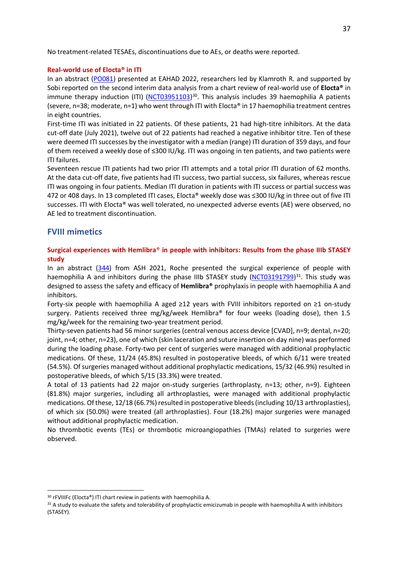No treatment-related TESAEs, discontinuations due to AEs, or deaths were reported.

# **Real-world use of Elocta® in ITI**

In an abstract [\(PO081\)](https://onlinelibrary.wiley.com/doi/10.1111/hae.14479) presented at EAHAD 2022, researchers led by Klamroth R. and supported by Sobi reported on the second interim data analysis from a chart review of real-world use of **Elocta®** in immune therapy induction (ITI) [\(NCT03951103\)](https://clinicaltrials.gov/ct2/show/NCT03951103)<sup>30</sup>. This analysis includes 39 haemophilia A patients (severe, n=38; moderate, n=1) who went through ITI with Elocta® in 17 haemophilia treatment centres in eight countries.

First-time ITI was initiated in 22 patients. Of these patients, 21 had high-titre inhibitors. At the data cut-off date (July 2021), twelve out of 22 patients had reached a negative inhibitor titre. Ten of these were deemed ITI successes by the investigator with a median (range) ITI duration of 359 days, and four of them received a weekly dose of ≤300 IU/kg. ITI was ongoing in ten patients, and two patients were ITI failures.

Seventeen rescue ITI patients had two prior ITI attempts and a total prior ITI duration of 62 months. At the data cut-off date, five patients had ITI success, two partial success, six failures, whereas rescue ITI was ongoing in four patients. Median ITI duration in patients with ITI success or partial success was 472 or 408 days. In 13 completed ITI cases, Elocta® weekly dose was ≤300 IU/kg in three out of five ITI successes. ITI with Elocta® was well tolerated, no unexpected adverse events (AE) were observed, no AE led to treatment discontinuation.

# **FVIII mimetics**

# **Surgical experiences with Hemlibra**® **in people with inhibitors: Results from the phase IIIb STASEY study**

In an abstract [\(344\)](https://ash.confex.com/ash/2021/webprogram/Paper145890.html) from ASH 2021, Roche presented the surgical experience of people with haemophilia A and inhibitors during the phase IIIb STASEY study [\(NCT03191799\)](https://clinicaltrials.gov/ct2/show/NCT03191799)<sup>31</sup>. This study was designed to assess the safety and efficacy of **Hemlibra®** prophylaxis in people with haemophilia A and inhibitors.

Forty-six people with haemophilia A aged ≥12 years with FVIII inhibitors reported on ≥1 on-study surgery. Patients received three mg/kg/week Hemlibra® for four weeks (loading dose), then 1.5 mg/kg/week for the remaining two-year treatment period.

Thirty-seven patients had 56 minor surgeries (central venous access device [CVAD], n=9; dental, n=20; joint, n=4; other, n=23), one of which (skin laceration and suture insertion on day nine) was performed during the loading phase. Forty-two per cent of surgeries were managed with additional prophylactic medications. Of these, 11/24 (45.8%) resulted in postoperative bleeds, of which 6/11 were treated (54.5%). Of surgeries managed without additional prophylactic medications, 15/32 (46.9%) resulted in postoperative bleeds, of which 5/15 (33.3%) were treated.

A total of 13 patients had 22 major on-study surgeries (arthroplasty, n=13; other, n=9). Eighteen (81.8%) major surgeries, including all arthroplasties, were managed with additional prophylactic medications. Of these, 12/18 (66.7%) resulted in postoperative bleeds (including 10/13 arthroplasties), of which six (50.0%) were treated (all arthroplasties). Four (18.2%) major surgeries were managed without additional prophylactic medication.

No thrombotic events (TEs) or thrombotic microangiopathies (TMAs) related to surgeries were observed.

<sup>30</sup> rFVIIIFc (Elocta®) ITI chart review in patients with haemophilia A.

<sup>&</sup>lt;sup>31</sup> A study to evaluate the safety and tolerability of prophylactic emicizumab in people with haemophilia A with inhibitors (STASEY).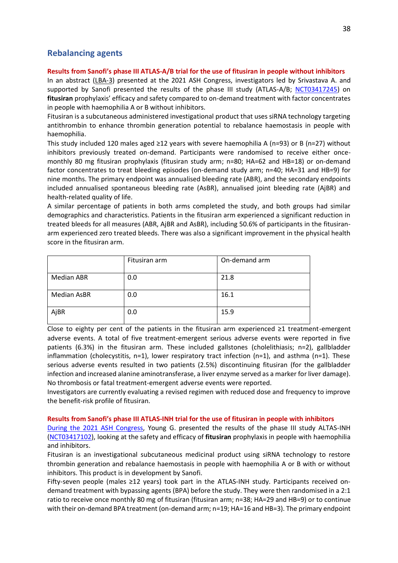# **Rebalancing agents**

## **Results from Sanofi's phase III ATLAS-A/B trial for the use of fitusiran in people without inhibitors**

In an abstract [\(LBA-3\)](https://ash.confex.com/ash/2021/webprogram/Paper155018.html) presented at the 2021 ASH Congress, investigators led by Srivastava A. and supported by Sanofi presented the results of the phase III study (ATLAS-A/B; [NCT03417245\)](https://clinicaltrials.gov/ct2/show/NCT03417245) on **fitusiran** prophylaxis' efficacy and safety compared to on-demand treatment with factor concentrates in people with haemophilia A or B without inhibitors.

Fitusiran is a subcutaneous administered investigational product that uses siRNA technology targeting antithrombin to enhance thrombin generation potential to rebalance haemostasis in people with haemophilia.

This study included 120 males aged ≥12 years with severe haemophilia A (n=93) or B (n=27) without inhibitors previously treated on-demand. Participants were randomised to receive either oncemonthly 80 mg fitusiran prophylaxis (fitusiran study arm; n=80; HA=62 and HB=18) or on-demand factor concentrates to treat bleeding episodes (on-demand study arm; n=40; HA=31 and HB=9) for nine months. The primary endpoint was annualised bleeding rate (ABR), and the secondary endpoints included annualised spontaneous bleeding rate (AsBR), annualised joint bleeding rate (AjBR) and health-related quality of life.

A similar percentage of patients in both arms completed the study, and both groups had similar demographics and characteristics. Patients in the fitusiran arm experienced a significant reduction in treated bleeds for all measures (ABR, AjBR and AsBR), including 50.6% of participants in the fitusiranarm experienced zero treated bleeds. There was also a significant improvement in the physical health score in the fitusiran arm.

|                    | Fitusiran arm | On-demand arm |
|--------------------|---------------|---------------|
| <b>Median ABR</b>  | 0.0           | 21.8          |
| <b>Median AsBR</b> | 0.0           | 16.1          |
| AjBR               | 0.0           | 15.9          |

Close to eighty per cent of the patients in the fitusiran arm experienced  $\geq 1$  treatment-emergent adverse events. A total of five treatment-emergent serious adverse events were reported in five patients (6.3%) in the fitusiran arm. These included gallstones (cholelithiasis; n=2), gallbladder inflammation (cholecystitis,  $n=1$ ), lower respiratory tract infection ( $n=1$ ), and asthma ( $n=1$ ). These serious adverse events resulted in two patients (2.5%) discontinuing fitusiran (for the gallbladder infection and increased alanine aminotransferase, a liver enzyme served as a marker for liver damage). No thrombosis or fatal treatment-emergent adverse events were reported.

Investigators are currently evaluating a revised regimen with reduced dose and frequency to improve the benefit-risk profile of fitusiran.

#### **Results from Sanofi's phase III ATLAS-INH trial for the use of fitusiran in people with inhibitors**

[During the 2021 ASH Congress,](https://ash.confex.com/ash/2021/webprogram/Paper150273.html) Young G. presented the results of the phase III study ALTAS-INH [\(NCT03417102\)](https://clinicaltrials.gov/ct2/show/NCT03417102), looking at the safety and efficacy of **fitusiran** prophylaxis in people with haemophilia and inhibitors.

Fitusiran is an investigational subcutaneous medicinal product using siRNA technology to restore thrombin generation and rebalance haemostasis in people with haemophilia A or B with or without inhibitors. This product is in development by Sanofi.

Fifty-seven people (males ≥12 years) took part in the ATLAS-INH study. Participants received ondemand treatment with bypassing agents (BPA) before the study. They were then randomised in a 2:1 ratio to receive once monthly 80 mg of fitusiran (fitusiran arm; n=38; HA=29 and HB=9) or to continue with their on-demand BPA treatment (on-demand arm; n=19; HA=16 and HB=3). The primary endpoint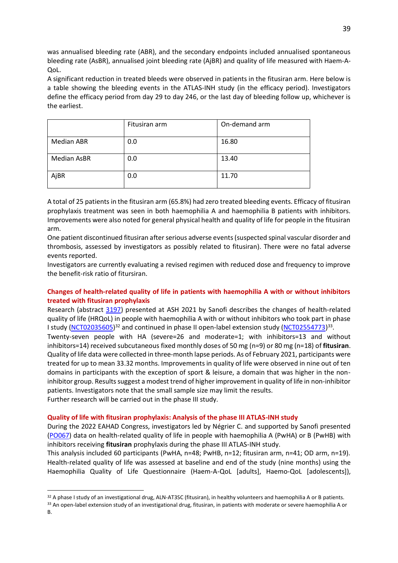was annualised bleeding rate (ABR), and the secondary endpoints included annualised spontaneous bleeding rate (AsBR), annualised joint bleeding rate (AjBR) and quality of life measured with Haem-A-QoL.

A significant reduction in treated bleeds were observed in patients in the fitusiran arm. Here below is a table showing the bleeding events in the ATLAS-INH study (in the efficacy period). Investigators define the efficacy period from day 29 to day 246, or the last day of bleeding follow up, whichever is the earliest.

|                    | Fitusiran arm | On-demand arm |
|--------------------|---------------|---------------|
| <b>Median ABR</b>  | 0.0           | 16.80         |
| <b>Median AsBR</b> | 0.0           | 13.40         |
| AjBR               | 0.0           | 11.70         |

A total of 25 patients in the fitusiran arm (65.8%) had zero treated bleeding events. Efficacy of fitusiran prophylaxis treatment was seen in both haemophilia A and haemophilia B patients with inhibitors. Improvements were also noted for general physical health and quality of life for people in the fitusiran arm.

One patient discontinued fitusiran after serious adverse events (suspected spinal vascular disorder and thrombosis, assessed by investigators as possibly related to fitusiran). There were no fatal adverse events reported.

Investigators are currently evaluating a revised regimen with reduced dose and frequency to improve the benefit-risk ratio of fitursiran.

# **Changes of health-related quality of life in patients with haemophilia A with or without inhibitors treated with fitusiran prophylaxis**

Research (abstract [3197\)](https://ash.confex.com/ash/2021/webprogram/Paper147286.html) presented at ASH 2021 by Sanofi describes the changes of health-related quality of life (HRQoL) in people with haemophilia A with or without inhibitors who took part in phase I study [\(NCT02035605\)](https://clinicaltrials.gov/ct2/show/NCT02035605)<sup>32</sup> and continued in phase II open-label extension study [\(NCT02554773\)](https://clinicaltrials.gov/ct2/show/NCT02554773)<sup>33</sup>.

Twenty-seven people with HA (severe=26 and moderate=1; with inhibitors=13 and without inhibitors=14) received subcutaneous fixed monthly doses of 50 mg (n=9) or 80 mg (n=18) of **fitusiran**. Quality of life data were collected in three-month lapse periods. As of February 2021, participants were treated for up to mean 33.32 months. Improvements in quality of life were observed in nine out of ten domains in participants with the exception of sport & leisure, a domain that was higher in the noninhibitor group. Results suggest a modest trend of higher improvement in quality of life in non-inhibitor patients. Investigators note that the small sample size may limit the results.

Further research will be carried out in the phase III study.

# **Quality of life with fitusiran prophylaxis: Analysis of the phase III ATLAS-INH study**

During the 2022 EAHAD Congress, investigators led by Négrier C. and supported by Sanofi presented [\(PO067\)](https://onlinelibrary.wiley.com/doi/10.1111/hae.14479) data on health-related quality of life in people with haemophilia A (PwHA) or B (PwHB) with inhibitors receiving **fitusiran** prophylaxis during the phase III ATLAS-INH study.

This analysis included 60 participants (PwHA, n=48; PwHB, n=12; fitusiran arm, n=41; OD arm, n=19). Health-related quality of life was assessed at baseline and end of the study (nine months) using the Haemophilia Quality of Life Questionnaire (Haem-A-QoL [adults], Haemo-QoL [adolescents]),

<sup>32</sup> A phase I study of an investigational drug, ALN-AT3SC (fitusiran), in healthy volunteers and haemophilia A or B patients.

<sup>33</sup> An open-label extension study of an investigational drug, fitusiran, in patients with moderate or severe haemophilia A or B.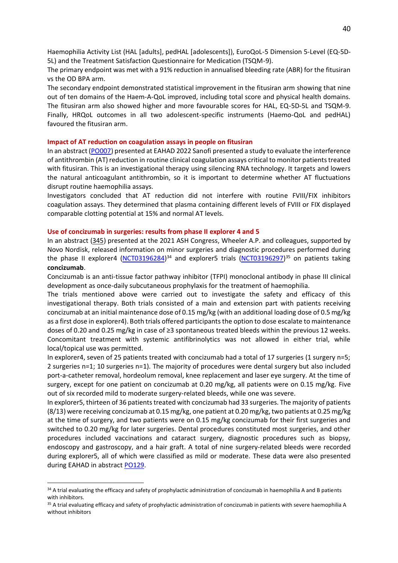Haemophilia Activity List (HAL [adults], pedHAL [adolescents]), EuroQoL-5 Dimension 5-Level (EQ-5D-5L) and the Treatment Satisfaction Questionnaire for Medication (TSQM-9).

The primary endpoint was met with a 91% reduction in annualised bleeding rate (ABR) for the fitusiran vs the OD BPA arm.

The secondary endpoint demonstrated statistical improvement in the fitusiran arm showing that nine out of ten domains of the Haem-A-QoL improved, including total score and physical health domains. The fitusiran arm also showed higher and more favourable scores for HAL, EQ-5D-5L and TSQM-9. Finally, HRQoL outcomes in all two adolescent-specific instruments (Haemo-QoL and pedHAL) favoured the fitusiran arm.

#### **Impact of AT reduction on coagulation assays in people on fitusiran**

In an abstract [\(PO007\)](https://onlinelibrary.wiley.com/doi/10.1111/hae.14479) presented at EAHAD 2022 Sanofi presented a study to evaluate the interference of antithrombin (AT) reduction in routine clinical coagulation assays critical to monitor patients treated with fitusiran. This is an investigational therapy using silencing RNA technology. It targets and lowers the natural anticoagulant antithrombin, so it is important to determine whether AT fluctuations disrupt routine haemophilia assays.

Investigators concluded that AT reduction did not interfere with routine FVIII/FIX inhibitors coagulation assays. They determined that plasma containing different levels of FVIII or FIX displayed comparable clotting potential at 15% and normal AT levels.

#### **Use of concizumab in surgeries: results from phase II explorer 4 and 5**

In an abstract [\(345\)](https://ash.confex.com/ash/2021/webprogram/Paper148571.html) presented at the 2021 ASH Congress, Wheeler A.P. and colleagues, supported by Novo Nordisk, released information on minor surgeries and diagnostic procedures performed during the phase II explorer4 [\(NCT03196284\)](https://clinicaltrials.gov/ct2/show/NCT03196284)<sup>34</sup> and explorer5 trials [\(NCT03196297\)](https://clinicaltrials.gov/ct2/show/NCT03196297)<sup>35</sup> on patients taking **concizumab**.

Concizumab is an anti-tissue factor pathway inhibitor (TFPI) monoclonal antibody in phase III clinical development as once-daily subcutaneous prophylaxis for the treatment of haemophilia.

The trials mentioned above were carried out to investigate the safety and efficacy of this investigational therapy. Both trials consisted of a main and extension part with patients receiving concizumab at an initial maintenance dose of 0.15 mg/kg (with an additional loading dose of 0.5 mg/kg as a first dose in explorer4). Both trials offered participants the option to dose escalate to maintenance doses of 0.20 and 0.25 mg/kg in case of ≥3 spontaneous treated bleeds within the previous 12 weeks. Concomitant treatment with systemic antifibrinolytics was not allowed in either trial, while local/topical use was permitted.

In explorer4, seven of 25 patients treated with concizumab had a total of 17 surgeries (1 surgery n=5; 2 surgeries n=1; 10 surgeries n=1). The majority of procedures were dental surgery but also included port-a-catheter removal, hordeolum removal, knee replacement and laser eye surgery. At the time of surgery, except for one patient on concizumab at 0.20 mg/kg, all patients were on 0.15 mg/kg. Five out of six recorded mild to moderate surgery-related bleeds, while one was severe.

In explorer5, thirteen of 36 patients treated with concizumab had 33 surgeries. The majority of patients (8/13) were receiving concizumab at 0.15 mg/kg, one patient at 0.20 mg/kg, two patients at 0.25 mg/kg at the time of surgery, and two patients were on 0.15 mg/kg concizumab for their first surgeries and switched to 0.20 mg/kg for later surgeries. Dental procedures constituted most surgeries, and other procedures included vaccinations and cataract surgery, diagnostic procedures such as biopsy, endoscopy and gastroscopy, and a hair graft. A total of nine surgery-related bleeds were recorded during explorer5, all of which were classified as mild or moderate. These data were also presented during EAHAD in abstract [PO129.](https://onlinelibrary.wiley.com/doi/10.1111/hae.14479)

<sup>34</sup> A trial evaluating the efficacy and safety of prophylactic administration of concizumab in haemophilia A and B patients with inhibitors.

<sup>&</sup>lt;sup>35</sup> A trial evaluating efficacy and safety of prophylactic administration of concizumab in patients with severe haemophilia A without inhibitors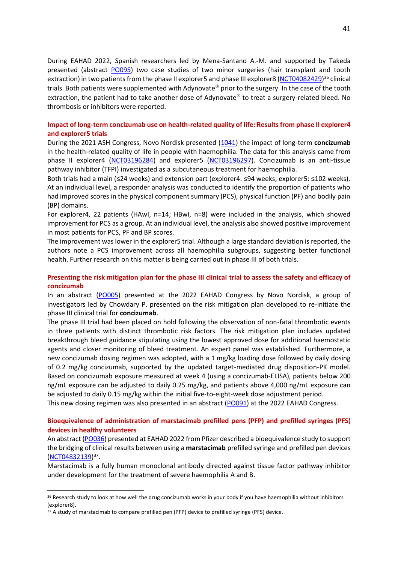During EAHAD 2022, Spanish researchers led by Mena-Santano A.-M. and supported by Takeda presented (abstract [PO095\)](https://onlinelibrary.wiley.com/doi/10.1111/hae.14479) two case studies of two minor surgeries (hair transplant and tooth extraction) in two patients from the phase II explorer5 and phase III explorer8 [\(NCT04082429\)](https://clinicaltrials.gov/ct2/show/NCT04082429)<sup>36</sup> clinical trials. Both patients were supplemented with Adynovate<sup>®</sup> prior to the surgery. In the case of the tooth extraction, the patient had to take another dose of Adynovate® to treat a surgery-related bleed. No thrombosis or inhibitors were reported.

# **Impact of long-term concizumab use on health-related quality of life: Results from phase II explorer4 and explorer5 trials**

During the 2021 ASH Congress, Novo Nordisk presented [\(1041\)](https://ash.confex.com/ash/2021/webprogram/Paper152257.html) the impact of long-term **concizumab** in the health-related quality of life in people with haemophilia. The data for this analysis came from phase II explorer4 [\(NCT03196284\)](https://clinicaltrials.gov/ct2/show/NCT03196284) and explorer5 [\(NCT03196297\)](https://clinicaltrials.gov/ct2/show/NCT03196297). Concizumab is an anti-tissue pathway inhibitor (TFPI) investigated as a subcutaneous treatment for haemophilia.

Both trials had a main (≤24 weeks) and extension part (explorer4: ≤94 weeks; explorer5: ≤102 weeks). At an individual level, a responder analysis was conducted to identify the proportion of patients who had improved scores in the physical component summary (PCS), physical function (PF) and bodily pain (BP) domains.

For explorer4, 22 patients (HAwI, n=14; HBwI, n=8) were included in the analysis, which showed improvement for PCS as a group. At an individual level, the analysis also showed positive improvement in most patients for PCS, PF and BP scores.

The improvement was lower in the explorer5 trial. Although a large standard deviation is reported, the authors note a PCS improvement across all haemophilia subgroups, suggesting better functional health. Further research on this matter is being carried out in phase III of both trials.

# **Presenting the risk mitigation plan for the phase III clinical trial to assess the safety and efficacy of concizumab**

In an abstract [\(PO005\)](https://onlinelibrary.wiley.com/doi/10.1111/hae.14479) presented at the 2022 EAHAD Congress by Novo Nordisk, a group of investigators led by Chowdary P. presented on the risk mitigation plan developed to re-initiate the phase III clinical trial for **concizumab**.

The phase III trial had been placed on hold following the observation of non-fatal thrombotic events in three patients with distinct thrombotic risk factors. The risk mitigation plan includes updated breakthrough bleed guidance stipulating using the lowest approved dose for additional haemostatic agents and closer monitoring of bleed treatment. An expert panel was established. Furthermore, a new concizumab dosing regimen was adopted, with a 1 mg/kg loading dose followed by daily dosing of 0.2 mg/kg concizumab, supported by the updated target-mediated drug disposition-PK model. Based on concizumab exposure measured at week 4 (using a concizumab-ELISA), patients below 200 ng/mL exposure can be adjusted to daily 0.25 mg/kg, and patients above 4,000 ng/mL exposure can be adjusted to daily 0.15 mg/kg within the initial five-to-eight-week dose adjustment period.

This new dosing regimen was also presented in an abstract [\(PO091\)](https://onlinelibrary.wiley.com/doi/10.1111/hae.14479) at the 2022 EAHAD Congress.

# **Bioequivalence of administration of marstacimab prefilled pens (PFP) and prefilled syringes (PFS) devices in healthy volunteers**

An abstract [\(PO036\)](https://onlinelibrary.wiley.com/doi/10.1111/hae.14479) presented at EAHAD 2022 from Pfizer described a bioequivalence study to support the bridging of clinical results between using a **marstacimab** prefilled syringe and prefilled pen devices [\(NCT04832139\)](https://clinicaltrials.gov/ct2/show/NCT04832139)<sup>37</sup>.

Marstacimab is a fully human monoclonal antibody directed against tissue factor pathway inhibitor under development for the treatment of severe haemophilia A and B.

<sup>&</sup>lt;sup>36</sup> Research study to look at how well the drug concizumab works in your body if you have haemophilia without inhibitors (explorer8).

<sup>37</sup> A study of marstacimab to compare prefilled pen (PFP) device to prefilled syringe (PFS) device.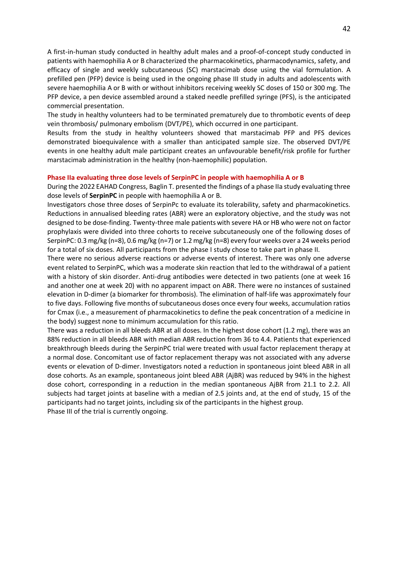A first-in-human study conducted in healthy adult males and a proof-of-concept study conducted in patients with haemophilia A or B characterized the pharmacokinetics, pharmacodynamics, safety, and efficacy of single and weekly subcutaneous (SC) marstacimab dose using the vial formulation. A prefilled pen (PFP) device is being used in the ongoing phase III study in adults and adolescents with severe haemophilia A or B with or without inhibitors receiving weekly SC doses of 150 or 300 mg. The PFP device, a pen device assembled around a staked needle prefilled syringe (PFS), is the anticipated commercial presentation.

The study in healthy volunteers had to be terminated prematurely due to thrombotic events of deep vein thrombosis/ pulmonary embolism (DVT/PE), which occurred in one participant.

Results from the study in healthy volunteers showed that marstacimab PFP and PFS devices demonstrated bioequivalence with a smaller than anticipated sample size. The observed DVT/PE events in one healthy adult male participant creates an unfavourable benefit/risk profile for further marstacimab administration in the healthy (non-haemophilic) population.

#### **Phase IIa evaluating three dose levels of SerpinPC in people with haemophilia A or B**

During the 2022 EAHAD Congress, Baglin T. presented the findings of a phase IIa study evaluating three dose levels of **SerpinPC** in people with haemophilia A or B.

Investigators chose three doses of SerpinPc to evaluate its tolerability, safety and pharmacokinetics. Reductions in annualised bleeding rates (ABR) were an exploratory objective, and the study was not designed to be dose-finding. Twenty-three male patients with severe HA or HB who were not on factor prophylaxis were divided into three cohorts to receive subcutaneously one of the following doses of SerpinPC: 0.3 mg/kg (n=8), 0.6 mg/kg (n=7) or 1.2 mg/kg (n=8) every four weeks over a 24 weeks period for a total of six doses. All participants from the phase I study chose to take part in phase II.

There were no serious adverse reactions or adverse events of interest. There was only one adverse event related to SerpinPC, which was a moderate skin reaction that led to the withdrawal of a patient with a history of skin disorder. Anti-drug antibodies were detected in two patients (one at week 16 and another one at week 20) with no apparent impact on ABR. There were no instances of sustained elevation in D-dimer (a biomarker for thrombosis). The elimination of half-life was approximately four to five days. Following five months of subcutaneous doses once every four weeks, accumulation ratios for Cmax (i.e., a measurement of pharmacokinetics to define the peak concentration of a medicine in the body) suggest none to minimum accumulation for this ratio.

There was a reduction in all bleeds ABR at all doses. In the highest dose cohort (1.2 mg), there was an 88% reduction in all bleeds ABR with median ABR reduction from 36 to 4.4. Patients that experienced breakthrough bleeds during the SerpinPC trial were treated with usual factor replacement therapy at a normal dose. Concomitant use of factor replacement therapy was not associated with any adverse events or elevation of D-dimer. Investigators noted a reduction in spontaneous joint bleed ABR in all dose cohorts. As an example, spontaneous joint bleed ABR (AjBR) was reduced by 94% in the highest dose cohort, corresponding in a reduction in the median spontaneous AjBR from 21.1 to 2.2. All subjects had target joints at baseline with a median of 2.5 joints and, at the end of study, 15 of the participants had no target joints, including six of the participants in the highest group. Phase III of the trial is currently ongoing.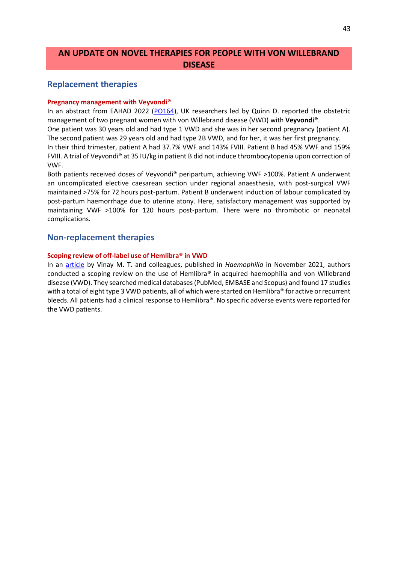# **AN UPDATE ON NOVEL THERAPIES FOR PEOPLE WITH VON WILLEBRAND DISEASE**

# **Replacement therapies**

#### **Pregnancy management with Veyvondi®**

In an abstract from EAHAD 2022 [\(PO164\)](https://onlinelibrary.wiley.com/doi/10.1111/hae.14479), UK researchers led by Quinn D. reported the obstetric management of two pregnant women with von Willebrand disease (VWD) with **Veyvondi®**. One patient was 30 years old and had type 1 VWD and she was in her second pregnancy (patient A). The second patient was 29 years old and had type 2B VWD, and for her, it was her first pregnancy. In their third trimester, patient A had 37.7% VWF and 143% FVIII. Patient B had 45% VWF and 159% FVIII. A trial of Veyvondi® at 35 IU/kg in patient B did not induce thrombocytopenia upon correction of VWF.

Both patients received doses of Veyvondi® peripartum, achieving VWF >100%. Patient A underwent an uncomplicated elective caesarean section under regional anaesthesia, with post-surgical VWF maintained >75% for 72 hours post-partum. Patient B underwent induction of labour complicated by post-partum haemorrhage due to uterine atony. Here, satisfactory management was supported by maintaining VWF >100% for 120 hours post-partum. There were no thrombotic or neonatal complications.

# **Non-replacement therapies**

#### **Scoping review of off-label use of Hemlibra® in VWD**

In an [article](https://onlinelibrary.wiley.com/doi/epdf/10.1111/hae.14450) by Vinay M. T. and colleagues, published in *Haemophilia* in November 2021, authors conducted a scoping review on the use of Hemlibra® in acquired haemophilia and von Willebrand disease (VWD). They searched medical databases (PubMed, EMBASE and Scopus) and found 17 studies with a total of eight type 3 VWD patients, all of which were started on Hemlibra<sup>®</sup> for active or recurrent bleeds. All patients had a clinical response to Hemlibra®. No specific adverse events were reported for the VWD patients.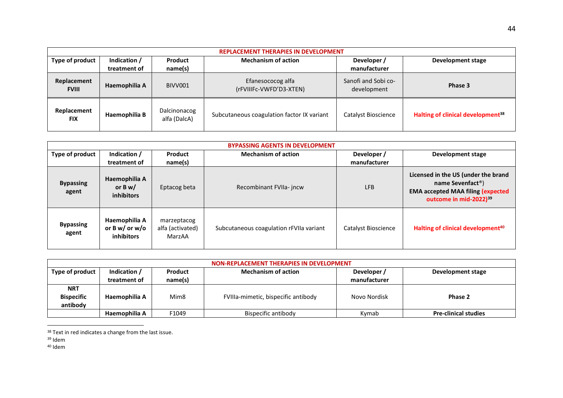| <b>REPLACEMENT THERAPIES IN DEVELOPMENT</b> |                              |                              |                                              |                                    |                                               |
|---------------------------------------------|------------------------------|------------------------------|----------------------------------------------|------------------------------------|-----------------------------------------------|
| Type of product                             | Indication /<br>treatment of | Product<br>name(s)           | <b>Mechanism of action</b>                   | Developer /<br>manufacturer        | Development stage                             |
| Replacement<br><b>FVIII</b>                 | Haemophilia A                | BIVV001                      | Efanesococog alfa<br>(rFVIIIFc-VWFD'D3-XTEN) | Sanofi and Sobi co-<br>development | Phase 3                                       |
| Replacement<br><b>FIX</b>                   | Haemophilia B                | Dalcinonacog<br>alfa (DalcA) | Subcutaneous coagulation factor IX variant   | Catalyst Bioscience                | Halting of clinical development <sup>38</sup> |

| <b>BYPASSING AGENTS IN DEVELOPMENT</b> |                                                      |                                           |                                         |                             |                                                                                                                                                        |
|----------------------------------------|------------------------------------------------------|-------------------------------------------|-----------------------------------------|-----------------------------|--------------------------------------------------------------------------------------------------------------------------------------------------------|
| Type of product                        | Indication /<br>treatment of                         | <b>Product</b><br>name(s)                 | <b>Mechanism of action</b>              | Developer /<br>manufacturer | Development stage                                                                                                                                      |
| <b>Bypassing</b><br>agent              | Haemophilia A<br>or $B w/$<br><i>inhibitors</i>      | Eptacog beta                              | Recombinant FVIIa- jncw                 | <b>LFB</b>                  | Licensed in the US (under the brand<br>name Sevenfact <sup>®</sup> )<br><b>EMA accepted MAA filing (expected</b><br>outcome in mid-2022) <sup>39</sup> |
| <b>Bypassing</b><br>agent              | Haemophilia A<br>or B w/ or w/o<br><b>inhibitors</b> | marzeptacog<br>alfa (activated)<br>MarzAA | Subcutaneous coagulation rFVIIa variant | Catalyst Bioscience         | Halting of clinical development <sup>40</sup>                                                                                                          |

| NON-REPLACEMENT THERAPIES IN DEVELOPMENT    |                              |                    |                                     |                             |                             |
|---------------------------------------------|------------------------------|--------------------|-------------------------------------|-----------------------------|-----------------------------|
| Type of product                             | Indication /<br>treatment of | Product<br>name(s) | <b>Mechanism of action</b>          | Developer /<br>manufacturer | Development stage           |
| <b>NRT</b><br><b>Bispecific</b><br>antibody | Haemophilia A                | Mim <sub>8</sub>   | FVIIIa-mimetic, bispecific antibody | Novo Nordisk                | Phase 2                     |
|                                             | Haemophilia A                | F1049              | Bispecific antibody                 | Kymab                       | <b>Pre-clinical studies</b> |

<sup>&</sup>lt;sup>38</sup> Text in red indicates a change from the last issue.

<sup>40</sup> Idem

<sup>39</sup> Idem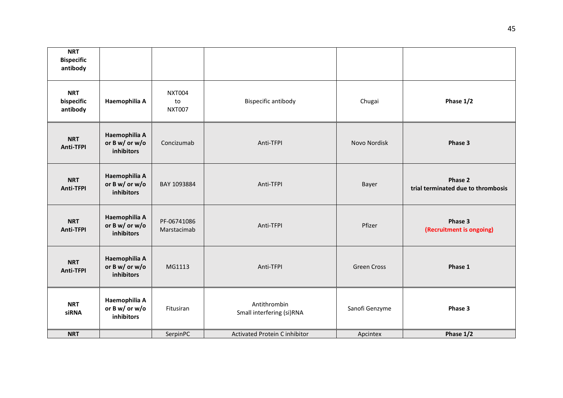| <b>NRT</b><br><b>Bispecific</b><br>antibody |                                               |                                      |                                           |                    |                                               |
|---------------------------------------------|-----------------------------------------------|--------------------------------------|-------------------------------------------|--------------------|-----------------------------------------------|
| <b>NRT</b><br>bispecific<br>antibody        | Haemophilia A                                 | <b>NXT004</b><br>to<br><b>NXT007</b> | <b>Bispecific antibody</b>                | Chugai             | Phase 1/2                                     |
| <b>NRT</b><br>Anti-TFPI                     | Haemophilia A<br>or B w/ or w/o<br>inhibitors | Concizumab                           | Anti-TFPI                                 | Novo Nordisk       | Phase 3                                       |
| <b>NRT</b><br><b>Anti-TFPI</b>              | Haemophilia A<br>or B w/ or w/o<br>inhibitors | BAY 1093884                          | Anti-TFPI                                 | Bayer              | Phase 2<br>trial terminated due to thrombosis |
| <b>NRT</b><br><b>Anti-TFPI</b>              | Haemophilia A<br>or B w/ or w/o<br>inhibitors | PF-06741086<br>Marstacimab           | Anti-TFPI                                 | Pfizer             | Phase 3<br>(Recruitment is ongoing)           |
| <b>NRT</b><br>Anti-TFPI                     | Haemophilia A<br>or B w/ or w/o<br>inhibitors | MG1113                               | Anti-TFPI                                 | <b>Green Cross</b> | Phase 1                                       |
| <b>NRT</b><br><b>siRNA</b>                  | Haemophilia A<br>or B w/ or w/o<br>inhibitors | Fitusiran                            | Antithrombin<br>Small interfering (si)RNA | Sanofi Genzyme     | Phase 3                                       |
| <b>NRT</b>                                  |                                               | SerpinPC                             | <b>Activated Protein C inhibitor</b>      | Apcintex           | Phase 1/2                                     |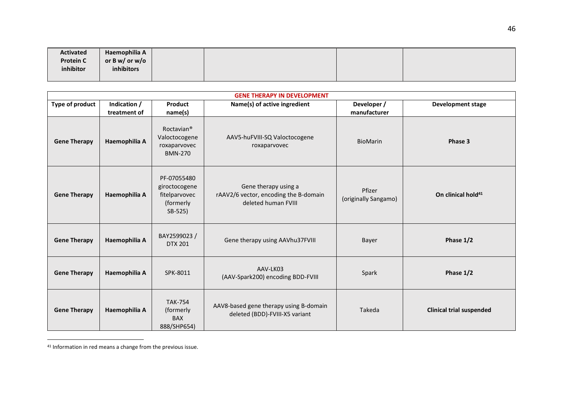| <b>Activated</b> | Haemophilia A  |  |  |
|------------------|----------------|--|--|
| <b>Protein C</b> | or B w/ or w/o |  |  |
| inhibitor        | inhibitors     |  |  |
|                  |                |  |  |

| <b>GENE THERAPY IN DEVELOPMENT</b> |               |                                                                           |                                                                                      |                                |                                 |  |
|------------------------------------|---------------|---------------------------------------------------------------------------|--------------------------------------------------------------------------------------|--------------------------------|---------------------------------|--|
| Type of product                    | Indication /  | Product                                                                   | Name(s) of active ingredient                                                         | Developer /                    | <b>Development stage</b>        |  |
|                                    | treatment of  | name(s)                                                                   |                                                                                      | manufacturer                   |                                 |  |
| <b>Gene Therapy</b>                | Haemophilia A | Roctavian <sup>®</sup><br>Valoctocogene<br>roxaparvovec<br><b>BMN-270</b> | AAV5-huFVIII-SQ Valoctocogene<br>roxaparvovec                                        | <b>BioMarin</b>                | Phase 3                         |  |
| <b>Gene Therapy</b>                | Haemophilia A | PF-07055480<br>giroctocogene<br>fitelparvovec<br>(formerly<br>SB-525)     | Gene therapy using a<br>rAAV2/6 vector, encoding the B-domain<br>deleted human FVIII | Pfizer<br>(originally Sangamo) | On clinical hold <sup>41</sup>  |  |
| <b>Gene Therapy</b>                | Haemophilia A | BAY2599023 /<br><b>DTX 201</b>                                            | Gene therapy using AAVhu37FVIII                                                      | Bayer                          | Phase 1/2                       |  |
| <b>Gene Therapy</b>                | Haemophilia A | SPK-8011                                                                  | AAV-LK03<br>(AAV-Spark200) encoding BDD-FVIII                                        | Spark                          | Phase 1/2                       |  |
| <b>Gene Therapy</b>                | Haemophilia A | <b>TAK-754</b><br>(formerly<br><b>BAX</b><br>888/SHP654)                  | AAV8-based gene therapy using B-domain<br>deleted (BDD)-FVIII-X5 variant             | Takeda                         | <b>Clinical trial suspended</b> |  |

<sup>41</sup> Information in red means a change from the previous issue.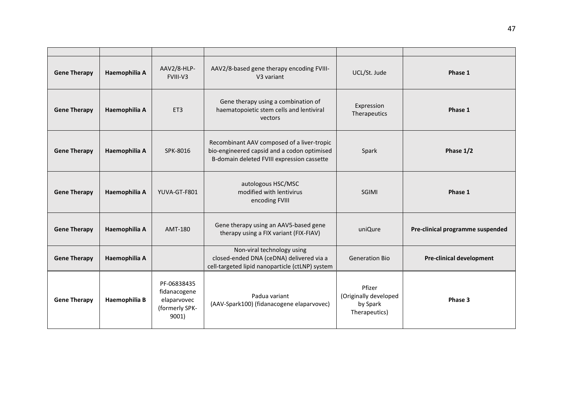| <b>Gene Therapy</b> | Haemophilia A | AAV2/8-HLP-<br>FVIII-V3                                               | AAV2/8-based gene therapy encoding FVIII-<br>V <sub>3</sub> variant                                                                     | UCL/St. Jude                                                 | Phase 1                          |
|---------------------|---------------|-----------------------------------------------------------------------|-----------------------------------------------------------------------------------------------------------------------------------------|--------------------------------------------------------------|----------------------------------|
| <b>Gene Therapy</b> | Haemophilia A | ET3                                                                   | Gene therapy using a combination of<br>haematopoietic stem cells and lentiviral<br>vectors                                              | Expression<br>Therapeutics                                   | Phase 1                          |
| <b>Gene Therapy</b> | Haemophilia A | SPK-8016                                                              | Recombinant AAV composed of a liver-tropic<br>bio-engineered capsid and a codon optimised<br>B-domain deleted FVIII expression cassette | Spark                                                        | Phase 1/2                        |
| <b>Gene Therapy</b> | Haemophilia A | YUVA-GT-F801                                                          | autologous HSC/MSC<br>modified with lentivirus<br>encoding FVIII                                                                        | <b>SGIMI</b>                                                 | Phase 1                          |
| <b>Gene Therapy</b> | Haemophilia A | AMT-180                                                               | Gene therapy using an AAV5-based gene<br>therapy using a FIX variant (FIX-FIAV)                                                         | uniQure                                                      | Pre-clinical programme suspended |
| <b>Gene Therapy</b> | Haemophilia A |                                                                       | Non-viral technology using<br>closed-ended DNA (ceDNA) delivered via a<br>cell-targeted lipid nanoparticle (ctLNP) system               | <b>Generation Bio</b>                                        | <b>Pre-clinical development</b>  |
| <b>Gene Therapy</b> | Haemophilia B | PF-06838435<br>fidanacogene<br>elaparvovec<br>(formerly SPK-<br>9001) | Padua variant<br>(AAV-Spark100) (fidanacogene elaparvovec)                                                                              | Pfizer<br>(Originally developed<br>by Spark<br>Therapeutics) | Phase 3                          |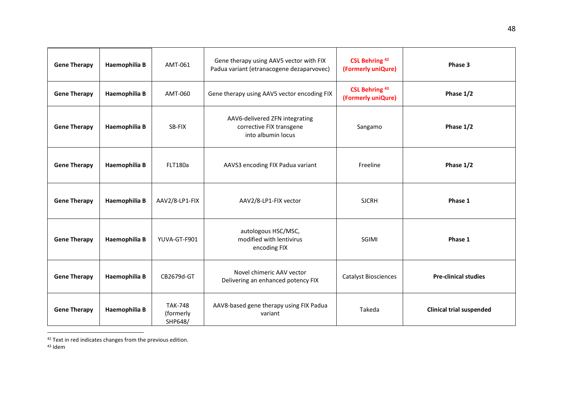| <b>Gene Therapy</b> | Haemophilia B | AMT-061                                | Gene therapy using AAV5 vector with FIX<br>Padua variant (etranacogene dezaparvovec) | <b>CSL Behring 42</b><br>(Formerly uniQure) | Phase 3                         |
|---------------------|---------------|----------------------------------------|--------------------------------------------------------------------------------------|---------------------------------------------|---------------------------------|
| <b>Gene Therapy</b> | Haemophilia B | AMT-060                                | Gene therapy using AAV5 vector encoding FIX                                          | <b>CSL Behring 43</b><br>(Formerly uniQure) | Phase 1/2                       |
| <b>Gene Therapy</b> | Haemophilia B | SB-FIX                                 | AAV6-delivered ZFN integrating<br>corrective FIX transgene<br>into albumin locus     | Sangamo                                     | Phase 1/2                       |
| <b>Gene Therapy</b> | Haemophilia B | <b>FLT180a</b>                         | AAVS3 encoding FIX Padua variant                                                     | Freeline                                    | Phase 1/2                       |
| <b>Gene Therapy</b> | Haemophilia B | AAV2/8-LP1-FIX                         | AAV2/8-LP1-FIX vector                                                                | <b>SJCRH</b>                                | Phase 1                         |
| <b>Gene Therapy</b> | Haemophilia B | YUVA-GT-F901                           | autologous HSC/MSC,<br>modified with lentivirus<br>encoding FIX                      | SGIMI                                       | Phase 1                         |
| <b>Gene Therapy</b> | Haemophilia B | CB2679d-GT                             | Novel chimeric AAV vector<br>Delivering an enhanced potency FIX                      | <b>Catalyst Biosciences</b>                 | <b>Pre-clinical studies</b>     |
| <b>Gene Therapy</b> | Haemophilia B | <b>TAK-748</b><br>(formerly<br>SHP648/ | AAV8-based gene therapy using FIX Padua<br>variant                                   | Takeda                                      | <b>Clinical trial suspended</b> |

<sup>42</sup> Text in red indicates changes from the previous edition.

<sup>43</sup> Idem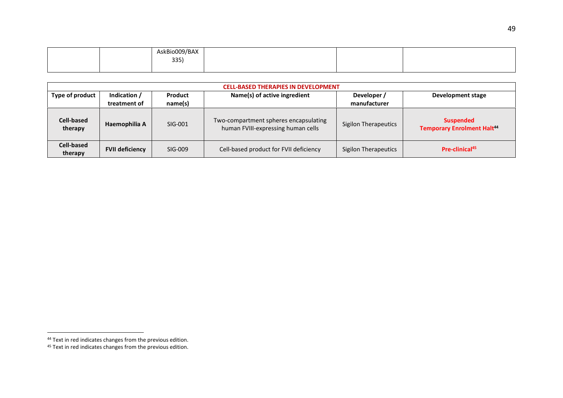|  | AskBio009/BAX |  |  |
|--|---------------|--|--|
|  | 335           |  |  |
|  |               |  |  |

| <b>CELL-BASED THERAPIES IN DEVELOPMENT</b> |                              |                    |                                                                             |                             |                                                       |  |
|--------------------------------------------|------------------------------|--------------------|-----------------------------------------------------------------------------|-----------------------------|-------------------------------------------------------|--|
| Type of product                            | Indication /<br>treatment of | Product<br>name(s) | Name(s) of active ingredient                                                | Developer /<br>manufacturer | Development stage                                     |  |
|                                            |                              |                    |                                                                             |                             |                                                       |  |
| <b>Cell-based</b><br>therapy               | Haemophilia A                | SIG-001            | Two-compartment spheres encapsulating<br>human FVIII-expressing human cells | <b>Sigilon Therapeutics</b> | <b>Suspended</b><br><b>Temporary Enrolment Halt44</b> |  |
| <b>Cell-based</b><br>therapy               | <b>FVII deficiency</b>       | SIG-009            | Cell-based product for FVII deficiency                                      | <b>Sigilon Therapeutics</b> | Pre-clinical <sup>45</sup>                            |  |

<sup>&</sup>lt;sup>44</sup> Text in red indicates changes from the previous edition.

<sup>&</sup>lt;sup>45</sup> Text in red indicates changes from the previous edition.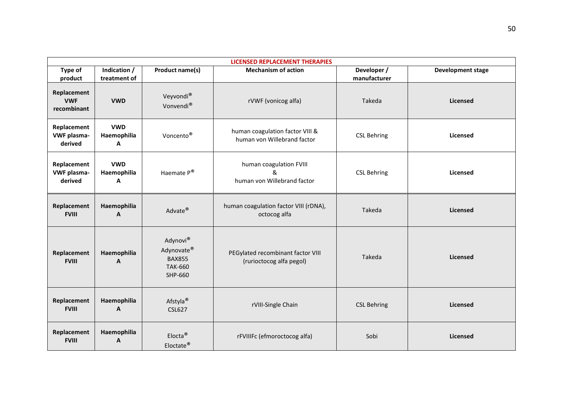| <b>LICENSED REPLACEMENT THERAPIES</b>        |                                |                                                                      |                                                                |                             |                          |  |
|----------------------------------------------|--------------------------------|----------------------------------------------------------------------|----------------------------------------------------------------|-----------------------------|--------------------------|--|
| Type of<br>product                           | Indication /<br>treatment of   | Product name(s)                                                      | <b>Mechanism of action</b>                                     | Developer /<br>manufacturer | <b>Development stage</b> |  |
| Replacement<br><b>VWF</b><br>recombinant     | <b>VWD</b>                     | Veyvondi®<br>Vonvendi®                                               | rVWF (vonicog alfa)                                            | Takeda                      | Licensed                 |  |
| Replacement<br><b>VWF plasma-</b><br>derived | <b>VWD</b><br>Haemophilia<br>Α | Voncento <sup>®</sup>                                                | human coagulation factor VIII &<br>human von Willebrand factor | <b>CSL Behring</b>          | Licensed                 |  |
| Replacement<br><b>VWF plasma-</b><br>derived | <b>VWD</b><br>Haemophilia<br>A | Haemate P®                                                           | human coagulation FVIII<br>&<br>human von Willebrand factor    | <b>CSL Behring</b>          | Licensed                 |  |
| Replacement<br><b>FVIII</b>                  | Haemophilia<br>A               | Advate®                                                              | human coagulation factor VIII (rDNA),<br>octocog alfa          | Takeda                      | Licensed                 |  |
| Replacement<br><b>FVIII</b>                  | Haemophilia<br>A               | Adynovi®<br>Adynovate®<br><b>BAX855</b><br><b>TAK-660</b><br>SHP-660 | PEGylated recombinant factor VIII<br>(rurioctocog alfa pegol)  | Takeda                      | Licensed                 |  |
| Replacement<br><b>FVIII</b>                  | Haemophilia<br>A               | Afstyla <sup>®</sup><br><b>CSL627</b>                                | rVIII-Single Chain                                             | <b>CSL Behring</b>          | Licensed                 |  |
| Replacement<br><b>FVIII</b>                  | Haemophilia<br>A               | Elocta <sup>®</sup><br>Eloctate <sup>®</sup>                         | rFVIIIFc (efmoroctocog alfa)                                   | Sobi                        | Licensed                 |  |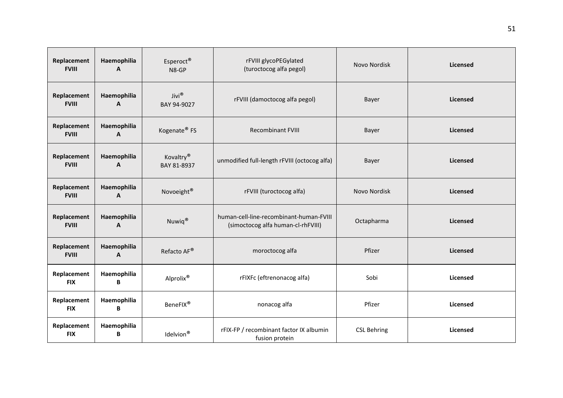| Replacement<br><b>FVIII</b> | Haemophilia<br>A | Esperoct <sup>®</sup><br>N8-GP | rFVIII glycoPEGylated<br>(turoctocog alfa pegol)                              | Novo Nordisk       | <b>Licensed</b> |
|-----------------------------|------------------|--------------------------------|-------------------------------------------------------------------------------|--------------------|-----------------|
| Replacement<br><b>FVIII</b> | Haemophilia<br>A | Jivi®<br>BAY 94-9027           | rFVIII (damoctocog alfa pegol)                                                | Bayer              | <b>Licensed</b> |
| Replacement<br><b>FVIII</b> | Haemophilia<br>A | Kogenate <sup>®</sup> FS       | <b>Recombinant FVIII</b>                                                      | Bayer              | Licensed        |
| Replacement<br><b>FVIII</b> | Haemophilia<br>A | Kovaltry®<br>BAY 81-8937       | unmodified full-length rFVIII (octocog alfa)                                  | Bayer              | Licensed        |
| Replacement<br><b>FVIII</b> | Haemophilia<br>A | Novoeight®                     | rFVIII (turoctocog alfa)                                                      | Novo Nordisk       | <b>Licensed</b> |
| Replacement<br><b>FVIII</b> | Haemophilia<br>A | Nuwiq <sup>®</sup>             | human-cell-line-recombinant-human-FVIII<br>(simoctocog alfa human-cl-rhFVIII) | Octapharma         | <b>Licensed</b> |
| Replacement<br><b>FVIII</b> | Haemophilia<br>A | Refacto AF®                    | moroctocog alfa                                                               | Pfizer             | Licensed        |
| Replacement<br><b>FIX</b>   | Haemophilia<br>B | Alprolix®                      | rFIXFc (eftrenonacog alfa)                                                    | Sobi               | <b>Licensed</b> |
| Replacement<br><b>FIX</b>   | Haemophilia<br>B | BeneFIX <sup>®</sup>           | nonacog alfa                                                                  | Pfizer             | Licensed        |
| Replacement<br><b>FIX</b>   | Haemophilia<br>B | Idelvion®                      | rFIX-FP / recombinant factor IX albumin<br>fusion protein                     | <b>CSL Behring</b> | Licensed        |